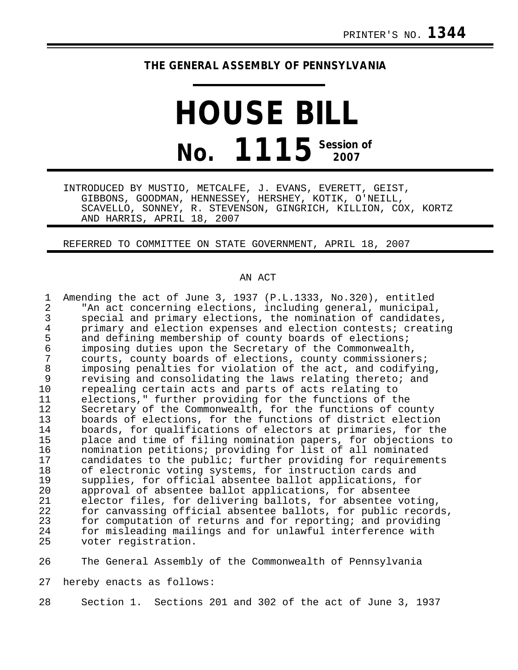## **THE GENERAL ASSEMBLY OF PENNSYLVANIA**

**HOUSE BILL No. 1115 Session of 2007**

INTRODUCED BY MUSTIO, METCALFE, J. EVANS, EVERETT, GEIST, GIBBONS, GOODMAN, HENNESSEY, HERSHEY, KOTIK, O'NEILL, SCAVELLO, SONNEY, R. STEVENSON, GINGRICH, KILLION, COX, KORTZ AND HARRIS, APRIL 18, 2007

REFERRED TO COMMITTEE ON STATE GOVERNMENT, APRIL 18, 2007

## AN ACT

| 1  | Amending the act of June 3, 1937 (P.L.1333, No.320), entitled |
|----|---------------------------------------------------------------|
| 2  | "An act concerning elections, including general, municipal,   |
| 3  | special and primary elections, the nomination of candidates,  |
| 4  | primary and election expenses and election contests; creating |
| 5  | and defining membership of county boards of elections;        |
| 6  | imposing duties upon the Secretary of the Commonwealth,       |
| 7  | courts, county boards of elections, county commissioners;     |
| 8  | imposing penalties for violation of the act, and codifying,   |
| 9  | revising and consolidating the laws relating thereto; and     |
| 10 | repealing certain acts and parts of acts relating to          |
| 11 | elections," further providing for the functions of the        |
| 12 | Secretary of the Commonwealth, for the functions of county    |
| 13 | boards of elections, for the functions of district election   |
| 14 | boards, for qualifications of electors at primaries, for the  |
| 15 | place and time of filing nomination papers, for objections to |
| 16 | nomination petitions; providing for list of all nominated     |
| 17 | candidates to the public; further providing for requirements  |
| 18 | of electronic voting systems, for instruction cards and       |
| 19 | supplies, for official absentee ballot applications, for      |
| 20 | approval of absentee ballot applications, for absentee        |
| 21 | elector files, for delivering ballots, for absentee voting,   |
| 22 | for canvassing official absentee ballots, for public records, |
| 23 | for computation of returns and for reporting; and providing   |
| 24 | for misleading mailings and for unlawful interference with    |
| 25 | voter registration.                                           |

26 The General Assembly of the Commonwealth of Pennsylvania

27 hereby enacts as follows:

28 Section 1. Sections 201 and 302 of the act of June 3, 1937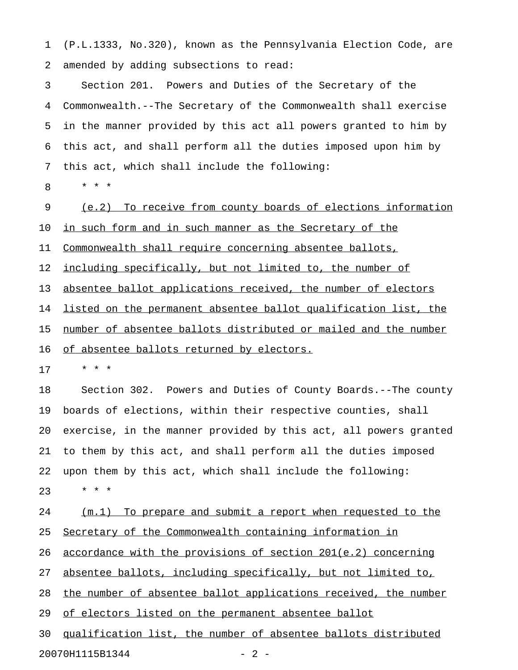1 (P.L.1333, No.320), known as the Pennsylvania Election Code, are 2 amended by adding subsections to read:

3 Section 201. Powers and Duties of the Secretary of the 4 Commonwealth.--The Secretary of the Commonwealth shall exercise 5 in the manner provided by this act all powers granted to him by 6 this act, and shall perform all the duties imposed upon him by 7 this act, which shall include the following:

8 \* \* \*

9 (e.2) To receive from county boards of elections information 10 in such form and in such manner as the Secretary of the 11 Commonwealth shall require concerning absentee ballots, 12 <u>including specifically, but not limited to, the number of</u> 13 absentee ballot applications received, the number of electors 14 listed on the permanent absentee ballot qualification list, the 15 number of absentee ballots distributed or mailed and the number

16 of absentee ballots returned by electors.

17 \* \* \*

18 Section 302. Powers and Duties of County Boards.--The county 19 boards of elections, within their respective counties, shall 20 exercise, in the manner provided by this act, all powers granted 21 to them by this act, and shall perform all the duties imposed 22 upon them by this act, which shall include the following:  $23 + * * *$ 

24 (m.1) To prepare and submit a report when requested to the 25 Secretary of the Commonwealth containing information in 26 <u>accordance with the provisions of section 201(e.2)</u> concerning 27 absentee ballots, including specifically, but not limited to, 28 the number of absentee ballot applications received, the number 29 of electors listed on the permanent absentee ballot 30 qualification list, the number of absentee ballots distributed

20070H1115B1344 - 2 -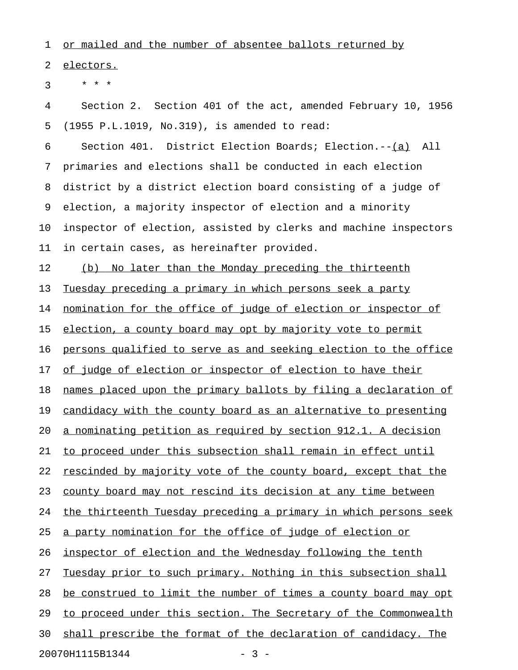1 or mailed and the number of absentee ballots returned by

2 electors.

 $3 * * * *$ 

4 Section 2. Section 401 of the act, amended February 10, 1956 5 (1955 P.L.1019, No.319), is amended to read:

6 Section 401. District Election Boards; Election.--(a) All 7 primaries and elections shall be conducted in each election 8 district by a district election board consisting of a judge of 9 election, a majority inspector of election and a minority 10 inspector of election, assisted by clerks and machine inspectors 11 in certain cases, as hereinafter provided.

12 (b) No later than the Monday preceding the thirteenth

13 Tuesday preceding a primary in which persons seek a party

14 nomination for the office of judge of election or inspector of

15 election, a county board may opt by majority vote to permit

16 persons qualified to serve as and seeking election to the office

17 of judge of election or inspector of election to have their

18 names placed upon the primary ballots by filing a declaration of

19 candidacy with the county board as an alternative to presenting

20 a nominating petition as required by section 912.1. A decision

21 to proceed under this subsection shall remain in effect until

22 rescinded by majority vote of the county board, except that the

23 county board may not rescind its decision at any time between

24 the thirteenth Tuesday preceding a primary in which persons seek

25 a party nomination for the office of judge of election or

26 inspector of election and the Wednesday following the tenth

27 Tuesday prior to such primary. Nothing in this subsection shall

28 be construed to limit the number of times a county board may opt

29 to proceed under this section. The Secretary of the Commonwealth

30 shall prescribe the format of the declaration of candidacy. The

20070H1115B1344 - 3 -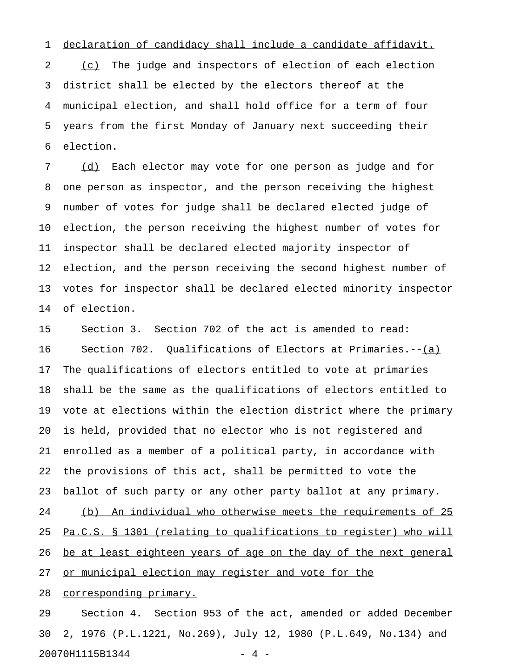## 1 declaration of candidacy shall include a candidate affidavit.

2 (c) The judge and inspectors of election of each election 3 district shall be elected by the electors thereof at the 4 municipal election, and shall hold office for a term of four 5 years from the first Monday of January next succeeding their 6 election.

7 (d) Each elector may vote for one person as judge and for 8 one person as inspector, and the person receiving the highest 9 number of votes for judge shall be declared elected judge of 10 election, the person receiving the highest number of votes for 11 inspector shall be declared elected majority inspector of 12 election, and the person receiving the second highest number of 13 votes for inspector shall be declared elected minority inspector 14 of election.

15 Section 3. Section 702 of the act is amended to read: 16 Section 702. Qualifications of Electors at Primaries.--(a) \_\_\_ 17 The qualifications of electors entitled to vote at primaries 18 shall be the same as the qualifications of electors entitled to 19 vote at elections within the election district where the primary 20 is held, provided that no elector who is not registered and 21 enrolled as a member of a political party, in accordance with 22 the provisions of this act, shall be permitted to vote the 23 ballot of such party or any other party ballot at any primary. 24 (b) An individual who otherwise meets the requirements of 25 25 Pa.C.S. § 1301 (relating to qualifications to register) who will 26 be at least eighteen years of age on the day of the next general 27 or municipal election may register and vote for the 28 corresponding primary.

29 Section 4. Section 953 of the act, amended or added December 30 2, 1976 (P.L.1221, No.269), July 12, 1980 (P.L.649, No.134) and 20070H1115B1344 - 4 -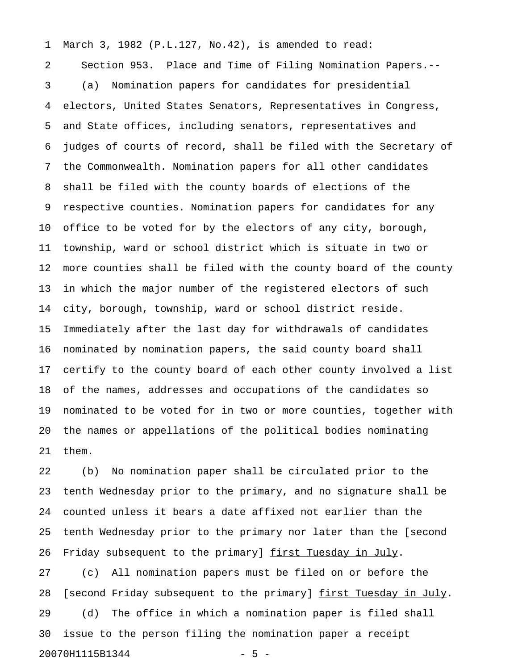1 March 3, 1982 (P.L.127, No.42), is amended to read: 2 Section 953. Place and Time of Filing Nomination Papers.-- 3 (a) Nomination papers for candidates for presidential 4 electors, United States Senators, Representatives in Congress, 5 and State offices, including senators, representatives and 6 judges of courts of record, shall be filed with the Secretary of 7 the Commonwealth. Nomination papers for all other candidates 8 shall be filed with the county boards of elections of the 9 respective counties. Nomination papers for candidates for any 10 office to be voted for by the electors of any city, borough, 11 township, ward or school district which is situate in two or 12 more counties shall be filed with the county board of the county 13 in which the major number of the registered electors of such 14 city, borough, township, ward or school district reside. 15 Immediately after the last day for withdrawals of candidates 16 nominated by nomination papers, the said county board shall 17 certify to the county board of each other county involved a list 18 of the names, addresses and occupations of the candidates so 19 nominated to be voted for in two or more counties, together with 20 the names or appellations of the political bodies nominating 21 them.

22 (b) No nomination paper shall be circulated prior to the 23 tenth Wednesday prior to the primary, and no signature shall be 24 counted unless it bears a date affixed not earlier than the 25 tenth Wednesday prior to the primary nor later than the [second 26 Friday subsequent to the primary] first Tuesday in July. 27 (c) All nomination papers must be filed on or before the

28 [second Friday subsequent to the primary]  $first$  Tuesday in July. 29 (d) The office in which a nomination paper is filed shall 30 issue to the person filing the nomination paper a receipt 20070H1115B1344 - 5 -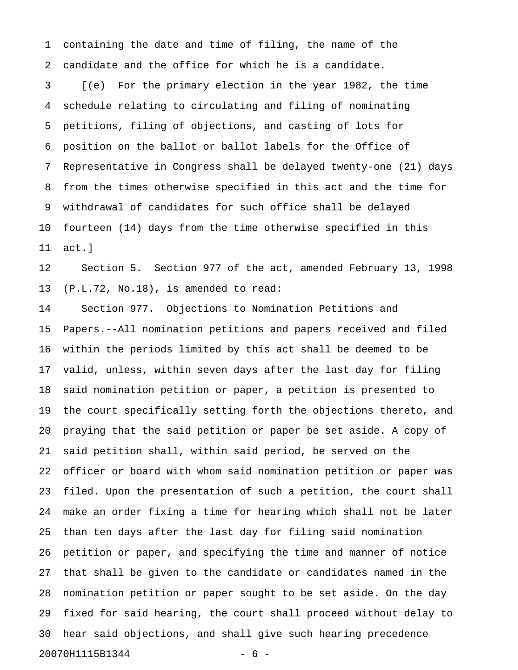1 containing the date and time of filing, the name of the 2 candidate and the office for which he is a candidate.

3 [(e) For the primary election in the year 1982, the time 4 schedule relating to circulating and filing of nominating 5 petitions, filing of objections, and casting of lots for 6 position on the ballot or ballot labels for the Office of 7 Representative in Congress shall be delayed twenty-one (21) days 8 from the times otherwise specified in this act and the time for 9 withdrawal of candidates for such office shall be delayed 10 fourteen (14) days from the time otherwise specified in this 11 act.]

12 Section 5. Section 977 of the act, amended February 13, 1998 13 (P.L.72, No.18), is amended to read:

14 Section 977. Objections to Nomination Petitions and 15 Papers.--All nomination petitions and papers received and filed 16 within the periods limited by this act shall be deemed to be 17 valid, unless, within seven days after the last day for filing 18 said nomination petition or paper, a petition is presented to 19 the court specifically setting forth the objections thereto, and 20 praying that the said petition or paper be set aside. A copy of 21 said petition shall, within said period, be served on the 22 officer or board with whom said nomination petition or paper was 23 filed. Upon the presentation of such a petition, the court shall 24 make an order fixing a time for hearing which shall not be later 25 than ten days after the last day for filing said nomination 26 petition or paper, and specifying the time and manner of notice 27 that shall be given to the candidate or candidates named in the 28 nomination petition or paper sought to be set aside. On the day 29 fixed for said hearing, the court shall proceed without delay to 30 hear said objections, and shall give such hearing precedence 20070H1115B1344 - 6 -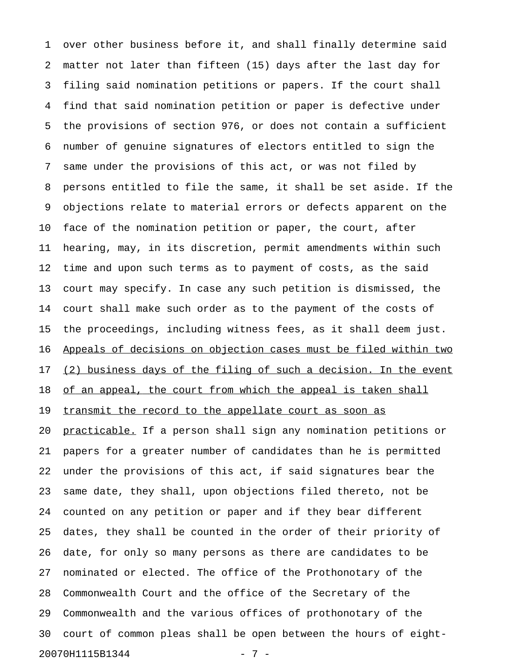1 over other business before it, and shall finally determine said 2 matter not later than fifteen (15) days after the last day for 3 filing said nomination petitions or papers. If the court shall 4 find that said nomination petition or paper is defective under 5 the provisions of section 976, or does not contain a sufficient 6 number of genuine signatures of electors entitled to sign the 7 same under the provisions of this act, or was not filed by 8 persons entitled to file the same, it shall be set aside. If the 9 objections relate to material errors or defects apparent on the 10 face of the nomination petition or paper, the court, after 11 hearing, may, in its discretion, permit amendments within such 12 time and upon such terms as to payment of costs, as the said 13 court may specify. In case any such petition is dismissed, the 14 court shall make such order as to the payment of the costs of 15 the proceedings, including witness fees, as it shall deem just. 16 Appeals of decisions on objection cases must be filed within two 17 (2) business days of the filing of such a decision. In the event 18 of an appeal, the court from which the appeal is taken shall 19 transmit the record to the appellate court as soon as 20 practicable. If a person shall sign any nomination petitions or 21 papers for a greater number of candidates than he is permitted 22 under the provisions of this act, if said signatures bear the 23 same date, they shall, upon objections filed thereto, not be 24 counted on any petition or paper and if they bear different 25 dates, they shall be counted in the order of their priority of 26 date, for only so many persons as there are candidates to be 27 nominated or elected. The office of the Prothonotary of the 28 Commonwealth Court and the office of the Secretary of the 29 Commonwealth and the various offices of prothonotary of the 30 court of common pleas shall be open between the hours of eight-20070H1115B1344 - 7 -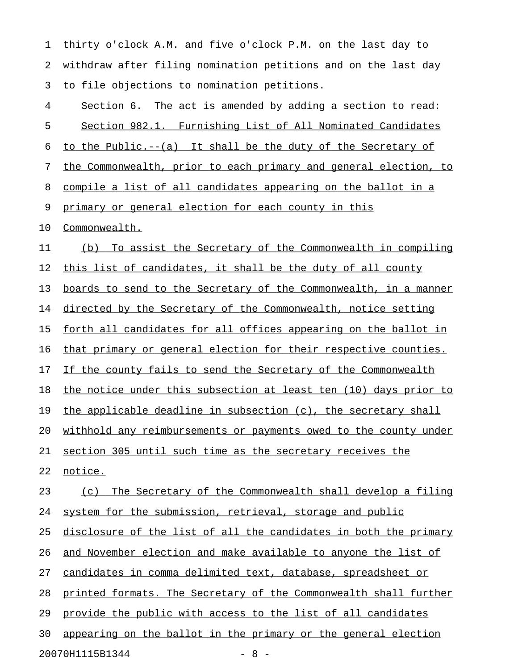1 thirty o'clock A.M. and five o'clock P.M. on the last day to 2 withdraw after filing nomination petitions and on the last day 3 to file objections to nomination petitions.

| 4  | Section 6. The act is amended by adding a section to read:       |
|----|------------------------------------------------------------------|
| 5  | Section 982.1. Furnishing List of All Nominated Candidates       |
| 6  | to the Public.--(a) It shall be the duty of the Secretary of     |
| 7  | the Commonwealth, prior to each primary and general election, to |
| 8  | compile a list of all candidates appearing on the ballot in a    |
| 9  | primary or general election for each county in this              |
| 10 | Commonwealth.                                                    |
| 11 | (b) To assist the Secretary of the Commonwealth in compiling     |
| 12 | this list of candidates, it shall be the duty of all county      |
| 13 | boards to send to the Secretary of the Commonwealth, in a manner |
| 14 | directed by the Secretary of the Commonwealth, notice setting    |
| 15 | forth all candidates for all offices appearing on the ballot in  |
| 16 | that primary or general election for their respective counties.  |
| 17 | If the county fails to send the Secretary of the Commonwealth    |
| 18 | the notice under this subsection at least ten (10) days prior to |
| 19 | the applicable deadline in subsection (c), the secretary shall   |
| 20 | withhold any reimbursements or payments owed to the county under |
| 21 | section 305 until such time as the secretary receives the        |
| 22 | notice.                                                          |
| 23 | The Secretary of the Commonwealth shall develop a filing<br>(c)  |
| 24 | system for the submission, retrieval, storage and public         |
| 25 | disclosure of the list of all the candidates in both the primary |
| 26 | and November election and make available to anyone the list of   |
| 27 | candidates in comma delimited text, database, spreadsheet or     |
| 28 | printed formats. The Secretary of the Commonwealth shall further |
| 29 | provide the public with access to the list of all candidates     |
| 30 | appearing on the ballot in the primary or the general election   |
|    | 20070H1115B1344<br>$-8-$                                         |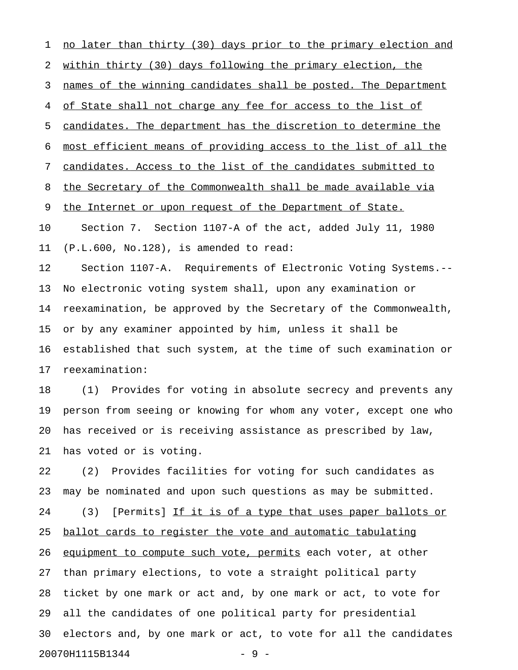1 no later than thirty (30) days prior to the primary election and 2 within thirty (30) days following the primary election, the 3 names of the winning candidates shall be posted. The Department 4 of State shall not charge any fee for access to the list of 5 candidates. The department has the discretion to determine the 6 most efficient means of providing access to the list of all the 7 candidates. Access to the list of the candidates submitted to 8 the Secretary of the Commonwealth shall be made available via 9 the Internet or upon request of the Department of State. 10 Section 7. Section 1107-A of the act, added July 11, 1980 11 (P.L.600, No.128), is amended to read: 12 Section 1107-A. Requirements of Electronic Voting Systems.-- 13 No electronic voting system shall, upon any examination or 14 reexamination, be approved by the Secretary of the Commonwealth, 15 or by any examiner appointed by him, unless it shall be 16 established that such system, at the time of such examination or 17 reexamination: 18 (1) Provides for voting in absolute secrecy and prevents any 19 person from seeing or knowing for whom any voter, except one who 20 has received or is receiving assistance as prescribed by law, 21 has voted or is voting. 22 (2) Provides facilities for voting for such candidates as 23 may be nominated and upon such questions as may be submitted. 24 (3) [Permits] If it is of a type that uses paper ballots or 25 ballot cards to register the vote and automatic tabulating 26 equipment to compute such vote, permits each voter, at other 27 than primary elections, to vote a straight political party 28 ticket by one mark or act and, by one mark or act, to vote for 29 all the candidates of one political party for presidential

30 electors and, by one mark or act, to vote for all the candidates

20070H1115B1344 - 9 -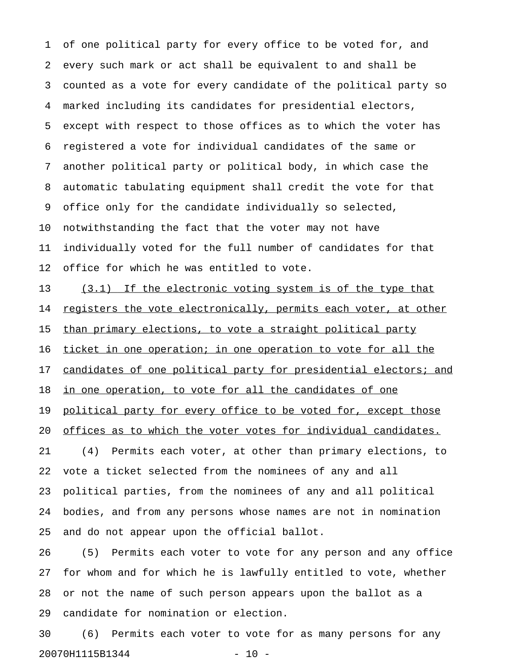1 of one political party for every office to be voted for, and 2 every such mark or act shall be equivalent to and shall be 3 counted as a vote for every candidate of the political party so 4 marked including its candidates for presidential electors, 5 except with respect to those offices as to which the voter has 6 registered a vote for individual candidates of the same or 7 another political party or political body, in which case the 8 automatic tabulating equipment shall credit the vote for that 9 office only for the candidate individually so selected, 10 notwithstanding the fact that the voter may not have 11 individually voted for the full number of candidates for that 12 office for which he was entitled to vote.

13 (3.1) If the electronic voting system is of the type that 14 registers the vote electronically, permits each voter, at other 15 than primary elections, to vote a straight political party 16 ticket in one operation; in one operation to vote for all the 17 candidates of one political party for presidential electors; and 18 in one operation, to vote for all the candidates of one 19 political party for every office to be voted for, except those 20 offices as to which the voter votes for individual candidates. 21 (4) Permits each voter, at other than primary elections, to 22 vote a ticket selected from the nominees of any and all 23 political parties, from the nominees of any and all political 24 bodies, and from any persons whose names are not in nomination 25 and do not appear upon the official ballot.

26 (5) Permits each voter to vote for any person and any office 27 for whom and for which he is lawfully entitled to vote, whether 28 or not the name of such person appears upon the ballot as a 29 candidate for nomination or election.

30 (6) Permits each voter to vote for as many persons for any 20070H1115B1344 - 10 -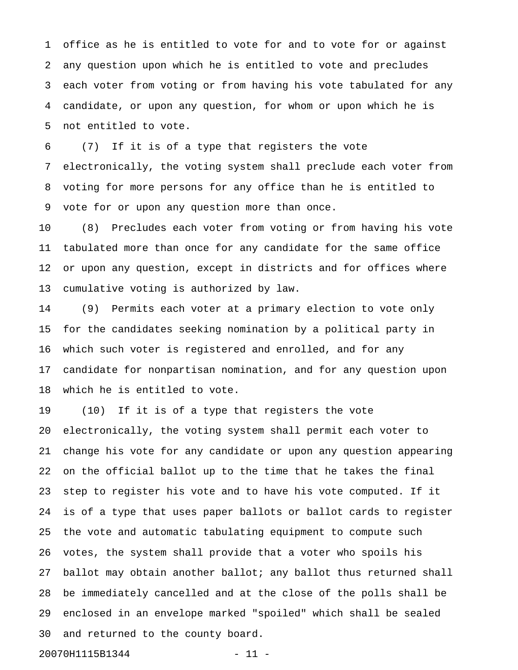1 office as he is entitled to vote for and to vote for or against 2 any question upon which he is entitled to vote and precludes 3 each voter from voting or from having his vote tabulated for any 4 candidate, or upon any question, for whom or upon which he is 5 not entitled to vote.

6 (7) If it is of a type that registers the vote 7 electronically, the voting system shall preclude each voter from 8 voting for more persons for any office than he is entitled to 9 vote for or upon any question more than once.

10 (8) Precludes each voter from voting or from having his vote 11 tabulated more than once for any candidate for the same office 12 or upon any question, except in districts and for offices where 13 cumulative voting is authorized by law.

14 (9) Permits each voter at a primary election to vote only 15 for the candidates seeking nomination by a political party in 16 which such voter is registered and enrolled, and for any 17 candidate for nonpartisan nomination, and for any question upon 18 which he is entitled to vote.

19 (10) If it is of a type that registers the vote 20 electronically, the voting system shall permit each voter to 21 change his vote for any candidate or upon any question appearing 22 on the official ballot up to the time that he takes the final 23 step to register his vote and to have his vote computed. If it 24 is of a type that uses paper ballots or ballot cards to register 25 the vote and automatic tabulating equipment to compute such 26 votes, the system shall provide that a voter who spoils his 27 ballot may obtain another ballot; any ballot thus returned shall 28 be immediately cancelled and at the close of the polls shall be 29 enclosed in an envelope marked "spoiled" which shall be sealed 30 and returned to the county board.

20070H1115B1344 - 11 -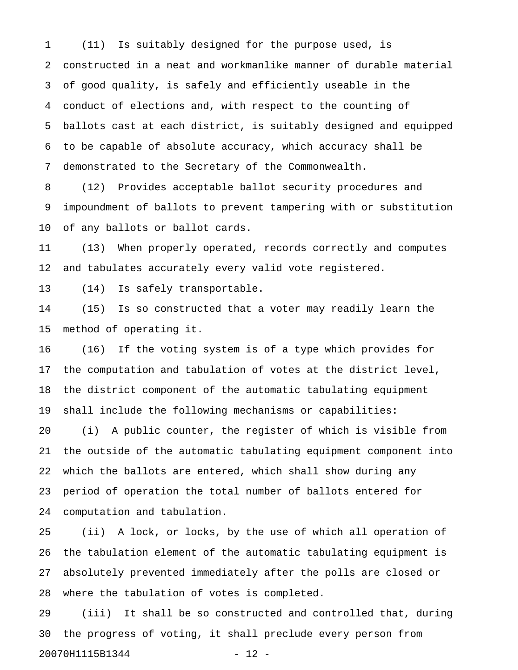1 (11) Is suitably designed for the purpose used, is 2 constructed in a neat and workmanlike manner of durable material 3 of good quality, is safely and efficiently useable in the 4 conduct of elections and, with respect to the counting of 5 ballots cast at each district, is suitably designed and equipped 6 to be capable of absolute accuracy, which accuracy shall be 7 demonstrated to the Secretary of the Commonwealth.

8 (12) Provides acceptable ballot security procedures and 9 impoundment of ballots to prevent tampering with or substitution 10 of any ballots or ballot cards.

11 (13) When properly operated, records correctly and computes 12 and tabulates accurately every valid vote registered.

13 (14) Is safely transportable.

14 (15) Is so constructed that a voter may readily learn the 15 method of operating it.

16 (16) If the voting system is of a type which provides for 17 the computation and tabulation of votes at the district level, 18 the district component of the automatic tabulating equipment 19 shall include the following mechanisms or capabilities:

20 (i) A public counter, the register of which is visible from 21 the outside of the automatic tabulating equipment component into 22 which the ballots are entered, which shall show during any 23 period of operation the total number of ballots entered for 24 computation and tabulation.

25 (ii) A lock, or locks, by the use of which all operation of 26 the tabulation element of the automatic tabulating equipment is 27 absolutely prevented immediately after the polls are closed or 28 where the tabulation of votes is completed.

29 (iii) It shall be so constructed and controlled that, during 30 the progress of voting, it shall preclude every person from 20070H1115B1344 - 12 -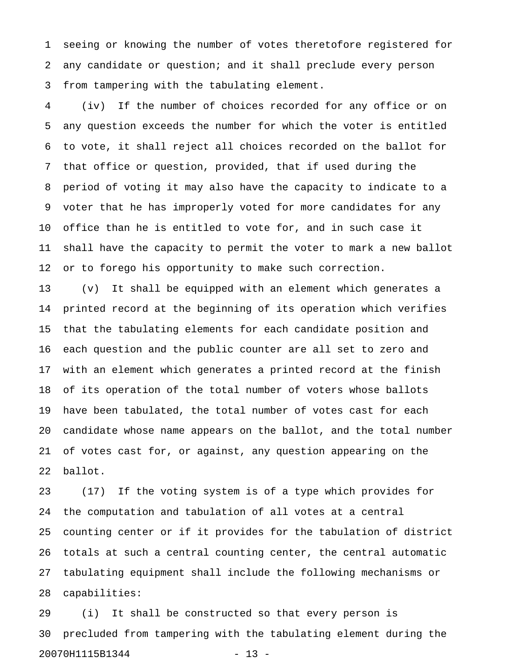1 seeing or knowing the number of votes theretofore registered for 2 any candidate or question; and it shall preclude every person 3 from tampering with the tabulating element.

4 (iv) If the number of choices recorded for any office or on 5 any question exceeds the number for which the voter is entitled 6 to vote, it shall reject all choices recorded on the ballot for 7 that office or question, provided, that if used during the 8 period of voting it may also have the capacity to indicate to a 9 voter that he has improperly voted for more candidates for any 10 office than he is entitled to vote for, and in such case it 11 shall have the capacity to permit the voter to mark a new ballot 12 or to forego his opportunity to make such correction.

13 (v) It shall be equipped with an element which generates a 14 printed record at the beginning of its operation which verifies 15 that the tabulating elements for each candidate position and 16 each question and the public counter are all set to zero and 17 with an element which generates a printed record at the finish 18 of its operation of the total number of voters whose ballots 19 have been tabulated, the total number of votes cast for each 20 candidate whose name appears on the ballot, and the total number 21 of votes cast for, or against, any question appearing on the 22 ballot.

23 (17) If the voting system is of a type which provides for 24 the computation and tabulation of all votes at a central 25 counting center or if it provides for the tabulation of district 26 totals at such a central counting center, the central automatic 27 tabulating equipment shall include the following mechanisms or 28 capabilities:

29 (i) It shall be constructed so that every person is 30 precluded from tampering with the tabulating element during the 20070H1115B1344 - 13 -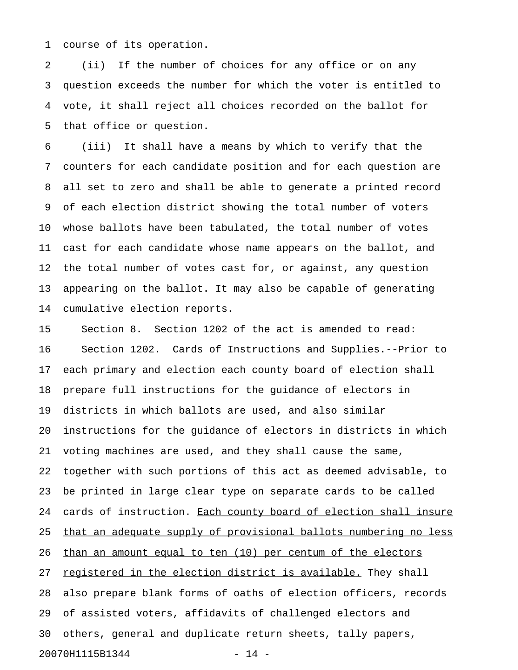1 course of its operation.

2 (ii) If the number of choices for any office or on any 3 question exceeds the number for which the voter is entitled to 4 vote, it shall reject all choices recorded on the ballot for 5 that office or question.

6 (iii) It shall have a means by which to verify that the 7 counters for each candidate position and for each question are 8 all set to zero and shall be able to generate a printed record 9 of each election district showing the total number of voters 10 whose ballots have been tabulated, the total number of votes 11 cast for each candidate whose name appears on the ballot, and 12 the total number of votes cast for, or against, any question 13 appearing on the ballot. It may also be capable of generating 14 cumulative election reports.

15 Section 8. Section 1202 of the act is amended to read: 16 Section 1202. Cards of Instructions and Supplies.--Prior to 17 each primary and election each county board of election shall 18 prepare full instructions for the guidance of electors in 19 districts in which ballots are used, and also similar 20 instructions for the guidance of electors in districts in which 21 voting machines are used, and they shall cause the same, 22 together with such portions of this act as deemed advisable, to 23 be printed in large clear type on separate cards to be called 24 cards of instruction. Each county board of election shall insure 25 that an adequate supply of provisional ballots numbering no less 26 than an amount equal to ten (10) per centum of the electors 27 registered in the election district is available. They shall 28 also prepare blank forms of oaths of election officers, records 29 of assisted voters, affidavits of challenged electors and 30 others, general and duplicate return sheets, tally papers, 20070H1115B1344 - 14 -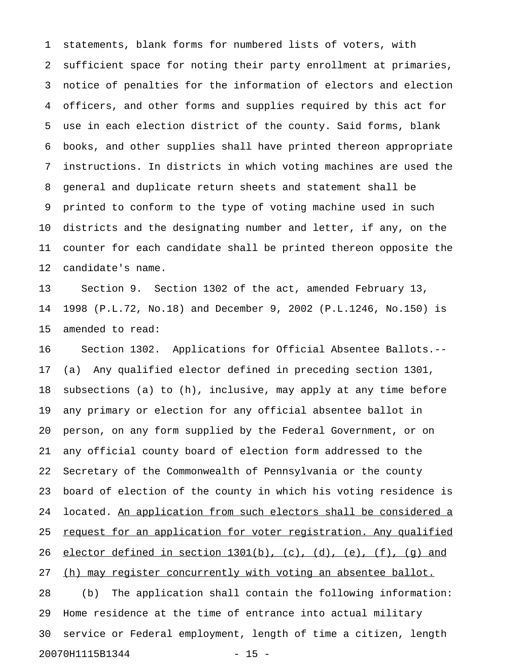1 statements, blank forms for numbered lists of voters, with 2 sufficient space for noting their party enrollment at primaries, 3 notice of penalties for the information of electors and election 4 officers, and other forms and supplies required by this act for 5 use in each election district of the county. Said forms, blank 6 books, and other supplies shall have printed thereon appropriate 7 instructions. In districts in which voting machines are used the 8 general and duplicate return sheets and statement shall be 9 printed to conform to the type of voting machine used in such 10 districts and the designating number and letter, if any, on the 11 counter for each candidate shall be printed thereon opposite the 12 candidate's name.

13 Section 9. Section 1302 of the act, amended February 13, 14 1998 (P.L.72, No.18) and December 9, 2002 (P.L.1246, No.150) is 15 amended to read:

16 Section 1302. Applications for Official Absentee Ballots.-- 17 (a) Any qualified elector defined in preceding section 1301, 18 subsections (a) to (h), inclusive, may apply at any time before 19 any primary or election for any official absentee ballot in 20 person, on any form supplied by the Federal Government, or on 21 any official county board of election form addressed to the 22 Secretary of the Commonwealth of Pennsylvania or the county 23 board of election of the county in which his voting residence is 24 located. An application from such electors shall be considered a 25 request for an application for voter registration. Any qualified 26 elector defined in section  $1301(b)$ , (c), (d), (e), (f), (q) and 27 (h) may register concurrently with voting an absentee ballot. 28 (b) The application shall contain the following information: 29 Home residence at the time of entrance into actual military 30 service or Federal employment, length of time a citizen, length 20070H1115B1344 - 15 -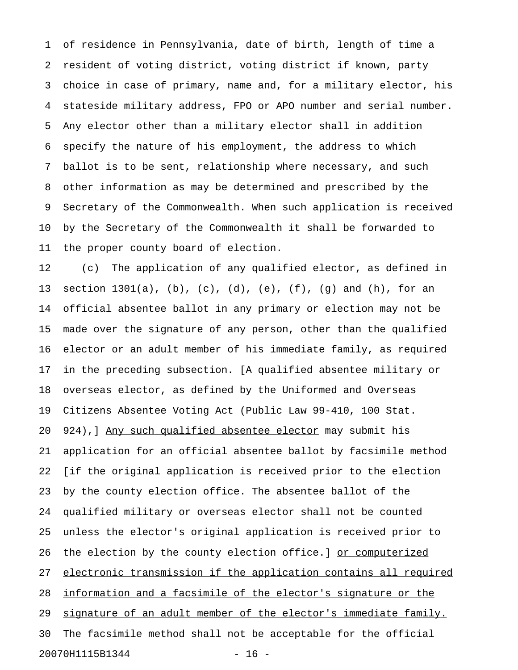1 of residence in Pennsylvania, date of birth, length of time a 2 resident of voting district, voting district if known, party 3 choice in case of primary, name and, for a military elector, his 4 stateside military address, FPO or APO number and serial number. 5 Any elector other than a military elector shall in addition 6 specify the nature of his employment, the address to which 7 ballot is to be sent, relationship where necessary, and such 8 other information as may be determined and prescribed by the 9 Secretary of the Commonwealth. When such application is received 10 by the Secretary of the Commonwealth it shall be forwarded to 11 the proper county board of election.

12 (c) The application of any qualified elector, as defined in 13 section 1301(a), (b), (c), (d), (e), (f), (g) and (h), for an 14 official absentee ballot in any primary or election may not be 15 made over the signature of any person, other than the qualified 16 elector or an adult member of his immediate family, as required 17 in the preceding subsection. [A qualified absentee military or 18 overseas elector, as defined by the Uniformed and Overseas 19 Citizens Absentee Voting Act (Public Law 99-410, 100 Stat. 20 924), Any such qualified absentee elector may submit his 21 application for an official absentee ballot by facsimile method 22 [if the original application is received prior to the election 23 by the county election office. The absentee ballot of the 24 qualified military or overseas elector shall not be counted 25 unless the elector's original application is received prior to 26 the election by the county election office.] or computerized 27 electronic transmission if the application contains all required 28 information and a facsimile of the elector's signature or the 29 signature of an adult member of the elector's immediate family. 30 The facsimile method shall not be acceptable for the official 20070H1115B1344 - 16 -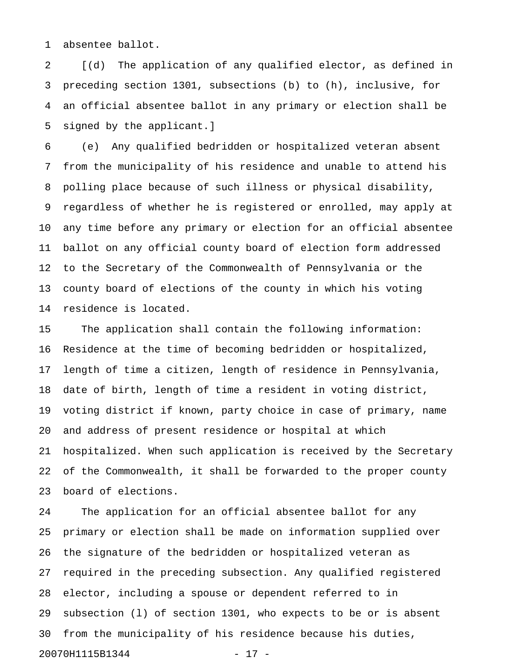1 absentee ballot.

2 [(d) The application of any qualified elector, as defined in 3 preceding section 1301, subsections (b) to (h), inclusive, for 4 an official absentee ballot in any primary or election shall be 5 signed by the applicant.]

6 (e) Any qualified bedridden or hospitalized veteran absent 7 from the municipality of his residence and unable to attend his 8 polling place because of such illness or physical disability, 9 regardless of whether he is registered or enrolled, may apply at 10 any time before any primary or election for an official absentee 11 ballot on any official county board of election form addressed 12 to the Secretary of the Commonwealth of Pennsylvania or the 13 county board of elections of the county in which his voting 14 residence is located.

15 The application shall contain the following information: 16 Residence at the time of becoming bedridden or hospitalized, 17 length of time a citizen, length of residence in Pennsylvania, 18 date of birth, length of time a resident in voting district, 19 voting district if known, party choice in case of primary, name 20 and address of present residence or hospital at which 21 hospitalized. When such application is received by the Secretary 22 of the Commonwealth, it shall be forwarded to the proper county 23 board of elections.

24 The application for an official absentee ballot for any 25 primary or election shall be made on information supplied over 26 the signature of the bedridden or hospitalized veteran as 27 required in the preceding subsection. Any qualified registered 28 elector, including a spouse or dependent referred to in 29 subsection (l) of section 1301, who expects to be or is absent 30 from the municipality of his residence because his duties, 20070H1115B1344 - 17 -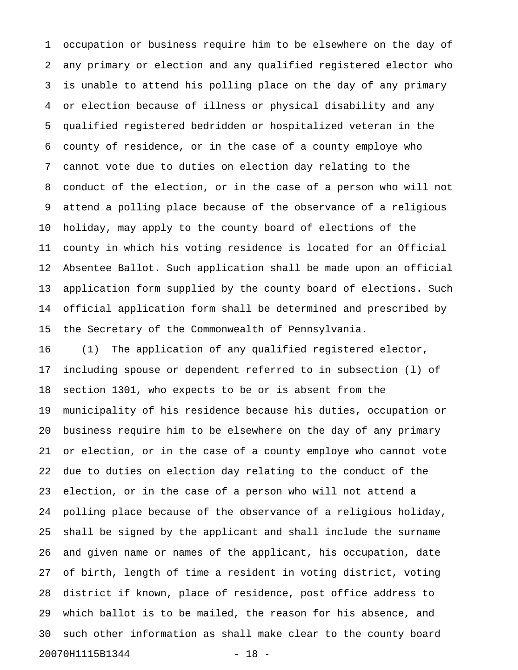1 occupation or business require him to be elsewhere on the day of 2 any primary or election and any qualified registered elector who 3 is unable to attend his polling place on the day of any primary 4 or election because of illness or physical disability and any 5 qualified registered bedridden or hospitalized veteran in the 6 county of residence, or in the case of a county employe who 7 cannot vote due to duties on election day relating to the 8 conduct of the election, or in the case of a person who will not 9 attend a polling place because of the observance of a religious 10 holiday, may apply to the county board of elections of the 11 county in which his voting residence is located for an Official 12 Absentee Ballot. Such application shall be made upon an official 13 application form supplied by the county board of elections. Such 14 official application form shall be determined and prescribed by 15 the Secretary of the Commonwealth of Pennsylvania.

16 (1) The application of any qualified registered elector, 17 including spouse or dependent referred to in subsection (l) of 18 section 1301, who expects to be or is absent from the 19 municipality of his residence because his duties, occupation or 20 business require him to be elsewhere on the day of any primary 21 or election, or in the case of a county employe who cannot vote 22 due to duties on election day relating to the conduct of the 23 election, or in the case of a person who will not attend a 24 polling place because of the observance of a religious holiday, 25 shall be signed by the applicant and shall include the surname 26 and given name or names of the applicant, his occupation, date 27 of birth, length of time a resident in voting district, voting 28 district if known, place of residence, post office address to 29 which ballot is to be mailed, the reason for his absence, and 30 such other information as shall make clear to the county board 20070H1115B1344 - 18 -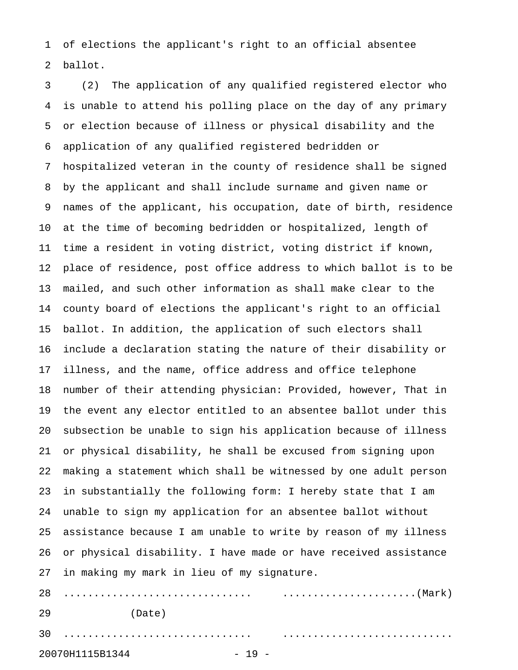1 of elections the applicant's right to an official absentee 2 ballot.

3 (2) The application of any qualified registered elector who 4 is unable to attend his polling place on the day of any primary 5 or election because of illness or physical disability and the 6 application of any qualified registered bedridden or 7 hospitalized veteran in the county of residence shall be signed 8 by the applicant and shall include surname and given name or 9 names of the applicant, his occupation, date of birth, residence 10 at the time of becoming bedridden or hospitalized, length of 11 time a resident in voting district, voting district if known, 12 place of residence, post office address to which ballot is to be 13 mailed, and such other information as shall make clear to the 14 county board of elections the applicant's right to an official 15 ballot. In addition, the application of such electors shall 16 include a declaration stating the nature of their disability or 17 illness, and the name, office address and office telephone 18 number of their attending physician: Provided, however, That in 19 the event any elector entitled to an absentee ballot under this 20 subsection be unable to sign his application because of illness 21 or physical disability, he shall be excused from signing upon 22 making a statement which shall be witnessed by one adult person 23 in substantially the following form: I hereby state that I am 24 unable to sign my application for an absentee ballot without 25 assistance because I am unable to write by reason of my illness 26 or physical disability. I have made or have received assistance 27 in making my mark in lieu of my signature. 28 ............................... ......................(Mark) 29 (Date) 30 ............................... ............................

20070H1115B1344 - 19 -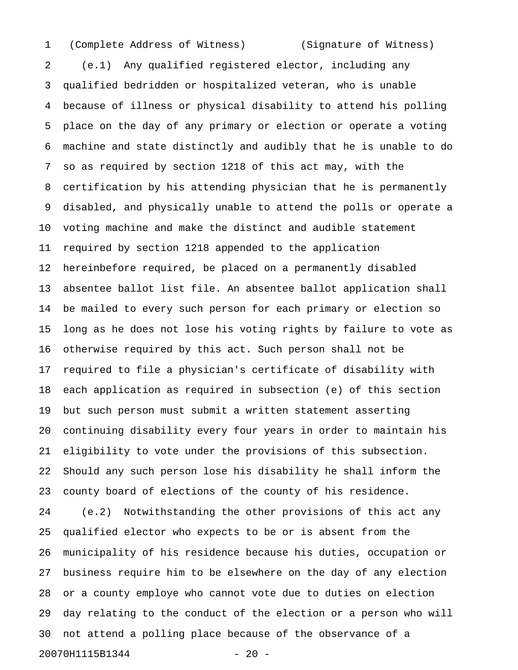1 (Complete Address of Witness) (Signature of Witness)

2 (e.1) Any qualified registered elector, including any 3 qualified bedridden or hospitalized veteran, who is unable 4 because of illness or physical disability to attend his polling 5 place on the day of any primary or election or operate a voting 6 machine and state distinctly and audibly that he is unable to do 7 so as required by section 1218 of this act may, with the 8 certification by his attending physician that he is permanently 9 disabled, and physically unable to attend the polls or operate a 10 voting machine and make the distinct and audible statement 11 required by section 1218 appended to the application 12 hereinbefore required, be placed on a permanently disabled 13 absentee ballot list file. An absentee ballot application shall 14 be mailed to every such person for each primary or election so 15 long as he does not lose his voting rights by failure to vote as 16 otherwise required by this act. Such person shall not be 17 required to file a physician's certificate of disability with 18 each application as required in subsection (e) of this section 19 but such person must submit a written statement asserting 20 continuing disability every four years in order to maintain his 21 eligibility to vote under the provisions of this subsection. 22 Should any such person lose his disability he shall inform the 23 county board of elections of the county of his residence. 24 (e.2) Notwithstanding the other provisions of this act any 25 qualified elector who expects to be or is absent from the 26 municipality of his residence because his duties, occupation or 27 business require him to be elsewhere on the day of any election 28 or a county employe who cannot vote due to duties on election 29 day relating to the conduct of the election or a person who will 30 not attend a polling place because of the observance of a 20070H1115B1344 - 20 -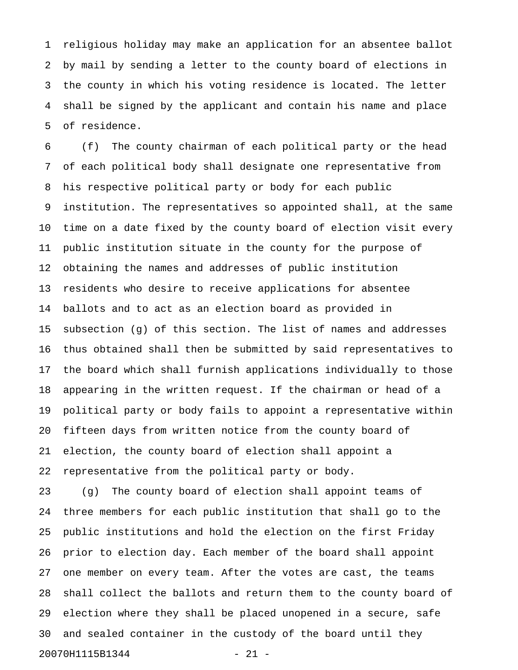1 religious holiday may make an application for an absentee ballot 2 by mail by sending a letter to the county board of elections in 3 the county in which his voting residence is located. The letter 4 shall be signed by the applicant and contain his name and place 5 of residence.

6 (f) The county chairman of each political party or the head 7 of each political body shall designate one representative from 8 his respective political party or body for each public 9 institution. The representatives so appointed shall, at the same 10 time on a date fixed by the county board of election visit every 11 public institution situate in the county for the purpose of 12 obtaining the names and addresses of public institution 13 residents who desire to receive applications for absentee 14 ballots and to act as an election board as provided in 15 subsection (g) of this section. The list of names and addresses 16 thus obtained shall then be submitted by said representatives to 17 the board which shall furnish applications individually to those 18 appearing in the written request. If the chairman or head of a 19 political party or body fails to appoint a representative within 20 fifteen days from written notice from the county board of 21 election, the county board of election shall appoint a 22 representative from the political party or body.

23 (g) The county board of election shall appoint teams of 24 three members for each public institution that shall go to the 25 public institutions and hold the election on the first Friday 26 prior to election day. Each member of the board shall appoint 27 one member on every team. After the votes are cast, the teams 28 shall collect the ballots and return them to the county board of 29 election where they shall be placed unopened in a secure, safe 30 and sealed container in the custody of the board until they 20070H1115B1344 - 21 -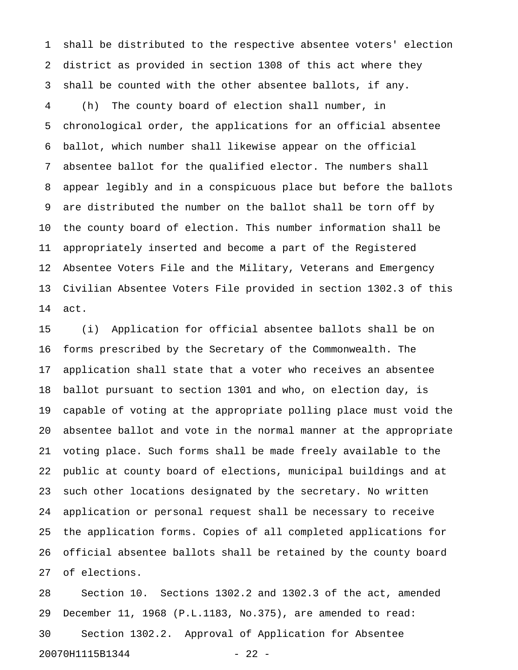1 shall be distributed to the respective absentee voters' election 2 district as provided in section 1308 of this act where they 3 shall be counted with the other absentee ballots, if any. 4 (h) The county board of election shall number, in 5 chronological order, the applications for an official absentee 6 ballot, which number shall likewise appear on the official 7 absentee ballot for the qualified elector. The numbers shall 8 appear legibly and in a conspicuous place but before the ballots 9 are distributed the number on the ballot shall be torn off by 10 the county board of election. This number information shall be 11 appropriately inserted and become a part of the Registered 12 Absentee Voters File and the Military, Veterans and Emergency 13 Civilian Absentee Voters File provided in section 1302.3 of this 14 act.

15 (i) Application for official absentee ballots shall be on 16 forms prescribed by the Secretary of the Commonwealth. The 17 application shall state that a voter who receives an absentee 18 ballot pursuant to section 1301 and who, on election day, is 19 capable of voting at the appropriate polling place must void the 20 absentee ballot and vote in the normal manner at the appropriate 21 voting place. Such forms shall be made freely available to the 22 public at county board of elections, municipal buildings and at 23 such other locations designated by the secretary. No written 24 application or personal request shall be necessary to receive 25 the application forms. Copies of all completed applications for 26 official absentee ballots shall be retained by the county board 27 of elections.

28 Section 10. Sections 1302.2 and 1302.3 of the act, amended 29 December 11, 1968 (P.L.1183, No.375), are amended to read: 30 Section 1302.2. Approval of Application for Absentee 20070H1115B1344 - 22 -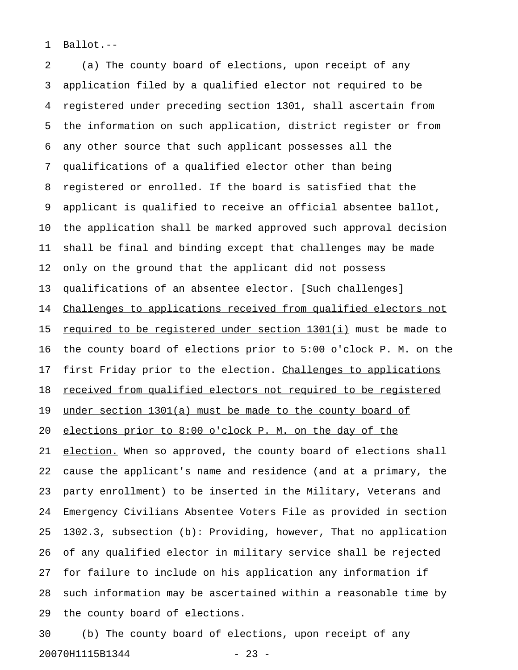1 Ballot.--

2 (a) The county board of elections, upon receipt of any 3 application filed by a qualified elector not required to be 4 registered under preceding section 1301, shall ascertain from 5 the information on such application, district register or from 6 any other source that such applicant possesses all the 7 qualifications of a qualified elector other than being 8 registered or enrolled. If the board is satisfied that the 9 applicant is qualified to receive an official absentee ballot, 10 the application shall be marked approved such approval decision 11 shall be final and binding except that challenges may be made 12 only on the ground that the applicant did not possess 13 qualifications of an absentee elector. [Such challenges] 14 Challenges to applications received from qualified electors not 15 required to be registered under section 1301(i) must be made to 16 the county board of elections prior to 5:00 o'clock P. M. on the 17 first Friday prior to the election. Challenges to applications 18 received from qualified electors not required to be registered 19 under section  $1301(a)$  must be made to the county board of 20 elections prior to 8:00 o'clock P. M. on the day of the 21 election. When so approved, the county board of elections shall 22 cause the applicant's name and residence (and at a primary, the 23 party enrollment) to be inserted in the Military, Veterans and 24 Emergency Civilians Absentee Voters File as provided in section 25 1302.3, subsection (b): Providing, however, That no application 26 of any qualified elector in military service shall be rejected 27 for failure to include on his application any information if 28 such information may be ascertained within a reasonable time by 29 the county board of elections.

30 (b) The county board of elections, upon receipt of any 20070H1115B1344 - 23 -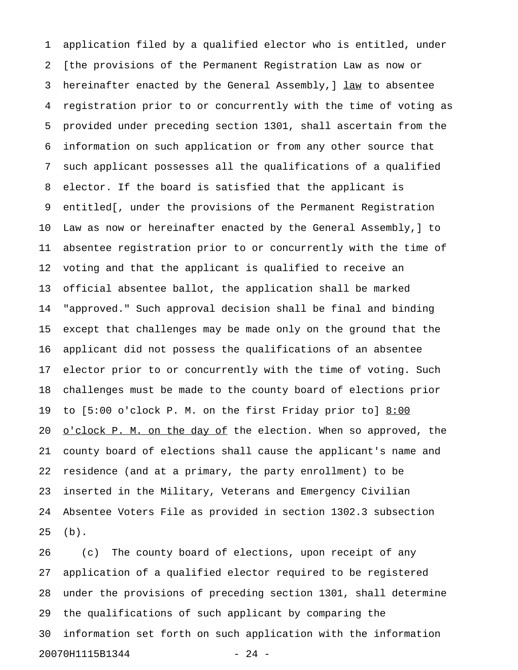1 application filed by a qualified elector who is entitled, under 2 [the provisions of the Permanent Registration Law as now or 3 hereinafter enacted by the General Assembly, ] law to absentee 4 registration prior to or concurrently with the time of voting as 5 provided under preceding section 1301, shall ascertain from the 6 information on such application or from any other source that 7 such applicant possesses all the qualifications of a qualified 8 elector. If the board is satisfied that the applicant is 9 entitled[, under the provisions of the Permanent Registration 10 Law as now or hereinafter enacted by the General Assembly,] to 11 absentee registration prior to or concurrently with the time of 12 voting and that the applicant is qualified to receive an 13 official absentee ballot, the application shall be marked 14 "approved." Such approval decision shall be final and binding 15 except that challenges may be made only on the ground that the 16 applicant did not possess the qualifications of an absentee 17 elector prior to or concurrently with the time of voting. Such 18 challenges must be made to the county board of elections prior 19 to [5:00 o'clock P. M. on the first Friday prior to] 8:00 20 <u>o'clock P. M. on the day of</u> the election. When so approved, the 21 county board of elections shall cause the applicant's name and 22 residence (and at a primary, the party enrollment) to be 23 inserted in the Military, Veterans and Emergency Civilian 24 Absentee Voters File as provided in section 1302.3 subsection 25 (b).

26 (c) The county board of elections, upon receipt of any 27 application of a qualified elector required to be registered 28 under the provisions of preceding section 1301, shall determine 29 the qualifications of such applicant by comparing the 30 information set forth on such application with the information 20070H1115B1344 - 24 -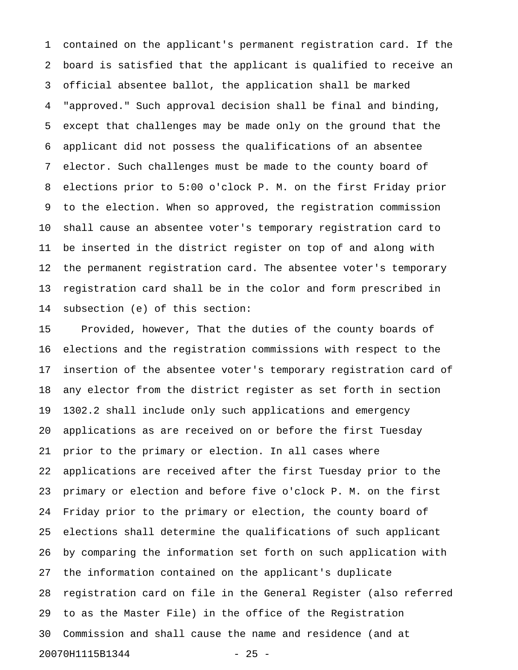1 contained on the applicant's permanent registration card. If the 2 board is satisfied that the applicant is qualified to receive an 3 official absentee ballot, the application shall be marked 4 "approved." Such approval decision shall be final and binding, 5 except that challenges may be made only on the ground that the 6 applicant did not possess the qualifications of an absentee 7 elector. Such challenges must be made to the county board of 8 elections prior to 5:00 o'clock P. M. on the first Friday prior 9 to the election. When so approved, the registration commission 10 shall cause an absentee voter's temporary registration card to 11 be inserted in the district register on top of and along with 12 the permanent registration card. The absentee voter's temporary 13 registration card shall be in the color and form prescribed in 14 subsection (e) of this section:

15 Provided, however, That the duties of the county boards of 16 elections and the registration commissions with respect to the 17 insertion of the absentee voter's temporary registration card of 18 any elector from the district register as set forth in section 19 1302.2 shall include only such applications and emergency 20 applications as are received on or before the first Tuesday 21 prior to the primary or election. In all cases where 22 applications are received after the first Tuesday prior to the 23 primary or election and before five o'clock P. M. on the first 24 Friday prior to the primary or election, the county board of 25 elections shall determine the qualifications of such applicant 26 by comparing the information set forth on such application with 27 the information contained on the applicant's duplicate 28 registration card on file in the General Register (also referred 29 to as the Master File) in the office of the Registration 30 Commission and shall cause the name and residence (and at 20070H1115B1344 - 25 -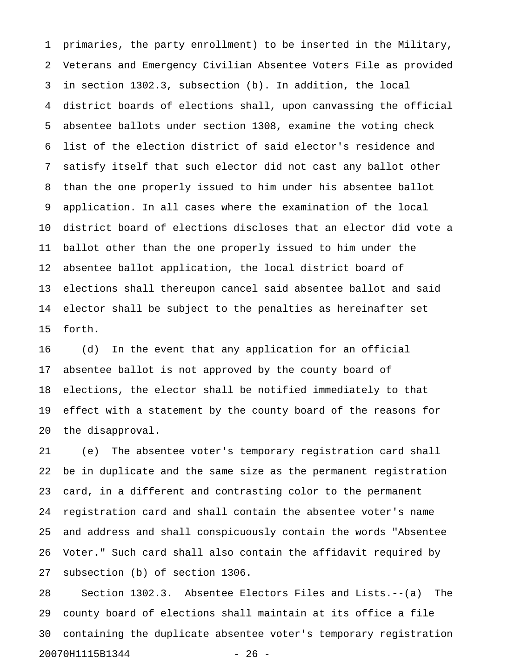1 primaries, the party enrollment) to be inserted in the Military, 2 Veterans and Emergency Civilian Absentee Voters File as provided 3 in section 1302.3, subsection (b). In addition, the local 4 district boards of elections shall, upon canvassing the official 5 absentee ballots under section 1308, examine the voting check 6 list of the election district of said elector's residence and 7 satisfy itself that such elector did not cast any ballot other 8 than the one properly issued to him under his absentee ballot 9 application. In all cases where the examination of the local 10 district board of elections discloses that an elector did vote a 11 ballot other than the one properly issued to him under the 12 absentee ballot application, the local district board of 13 elections shall thereupon cancel said absentee ballot and said 14 elector shall be subject to the penalties as hereinafter set 15 forth.

16 (d) In the event that any application for an official 17 absentee ballot is not approved by the county board of 18 elections, the elector shall be notified immediately to that 19 effect with a statement by the county board of the reasons for 20 the disapproval.

21 (e) The absentee voter's temporary registration card shall 22 be in duplicate and the same size as the permanent registration 23 card, in a different and contrasting color to the permanent 24 registration card and shall contain the absentee voter's name 25 and address and shall conspicuously contain the words "Absentee 26 Voter." Such card shall also contain the affidavit required by 27 subsection (b) of section 1306.

28 Section 1302.3. Absentee Electors Files and Lists.--(a) The 29 county board of elections shall maintain at its office a file 30 containing the duplicate absentee voter's temporary registration 20070H1115B1344 - 26 -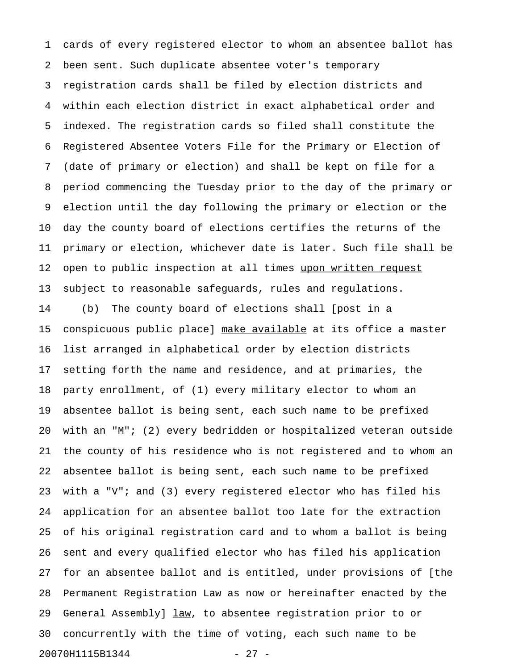1 cards of every registered elector to whom an absentee ballot has 2 been sent. Such duplicate absentee voter's temporary 3 registration cards shall be filed by election districts and 4 within each election district in exact alphabetical order and 5 indexed. The registration cards so filed shall constitute the 6 Registered Absentee Voters File for the Primary or Election of 7 (date of primary or election) and shall be kept on file for a 8 period commencing the Tuesday prior to the day of the primary or 9 election until the day following the primary or election or the 10 day the county board of elections certifies the returns of the 11 primary or election, whichever date is later. Such file shall be 12 open to public inspection at all times upon written request 13 subject to reasonable safeguards, rules and regulations. 14 (b) The county board of elections shall [post in a 15 conspicuous public place] make available at its office a master 16 list arranged in alphabetical order by election districts 17 setting forth the name and residence, and at primaries, the 18 party enrollment, of (1) every military elector to whom an 19 absentee ballot is being sent, each such name to be prefixed 20 with an "M"; (2) every bedridden or hospitalized veteran outside 21 the county of his residence who is not registered and to whom an 22 absentee ballot is being sent, each such name to be prefixed 23 with a "V"; and (3) every registered elector who has filed his 24 application for an absentee ballot too late for the extraction 25 of his original registration card and to whom a ballot is being 26 sent and every qualified elector who has filed his application 27 for an absentee ballot and is entitled, under provisions of [the 28 Permanent Registration Law as now or hereinafter enacted by the 29 General Assembly]  $\frac{law}{x}$ , to absentee registration prior to or 30 concurrently with the time of voting, each such name to be 20070H1115B1344 - 27 -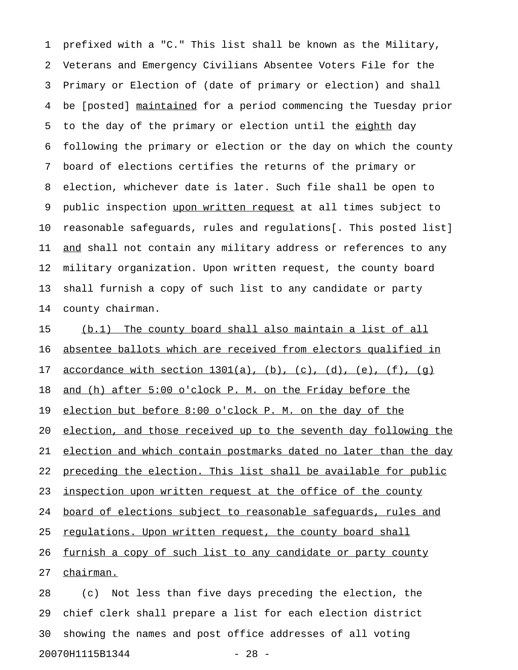1 prefixed with a "C." This list shall be known as the Military, 2 Veterans and Emergency Civilians Absentee Voters File for the 3 Primary or Election of (date of primary or election) and shall 4 be [posted] maintained for a period commencing the Tuesday prior 5 to the day of the primary or election until the eighth day 6 following the primary or election or the day on which the county 7 board of elections certifies the returns of the primary or 8 election, whichever date is later. Such file shall be open to 9 public inspection upon written request at all times subject to 10 reasonable safeguards, rules and regulations[. This posted list] 11 and shall not contain any military address or references to any 12 military organization. Upon written request, the county board 13 shall furnish a copy of such list to any candidate or party 14 county chairman.

15 (b.1) The county board shall also maintain a list of all 16 absentee ballots which are received from electors qualified in 17 <u>accordance with section 1301(a)</u>, (b), (c), (d), (e), (f), (q) 18 and (h) after 5:00 o'clock P. M. on the Friday before the 19 election but before 8:00 o'clock P. M. on the day of the 20 election, and those received up to the seventh day following the 21 election and which contain postmarks dated no later than the day 22 preceding the election. This list shall be available for public 23 inspection upon written request at the office of the county 24 board of elections subject to reasonable safequards, rules and 25 requlations. Upon written request, the county board shall 26 furnish a copy of such list to any candidate or party county 27 chairman.

28 (c) Not less than five days preceding the election, the 29 chief clerk shall prepare a list for each election district 30 showing the names and post office addresses of all voting 20070H1115B1344 - 28 -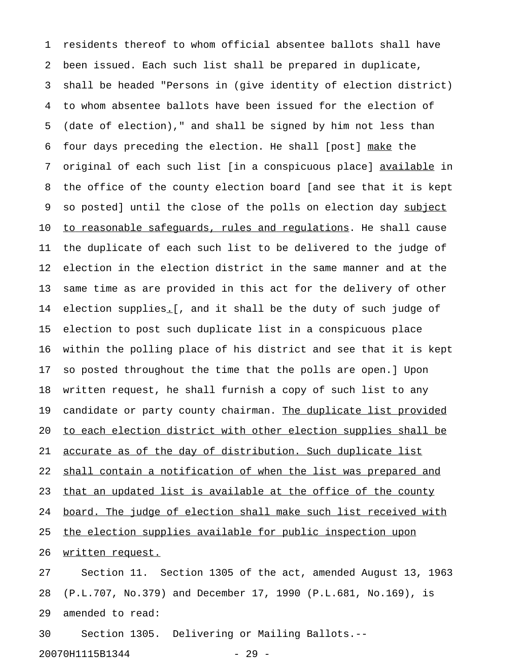1 residents thereof to whom official absentee ballots shall have 2 been issued. Each such list shall be prepared in duplicate, 3 shall be headed "Persons in (give identity of election district) 4 to whom absentee ballots have been issued for the election of 5 (date of election)," and shall be signed by him not less than 6 four days preceding the election. He shall [post] make the 7 original of each such list [in a conspicuous place] available in 8 the office of the county election board [and see that it is kept 9 so posted] until the close of the polls on election day subject 10 to reasonable safequards, rules and requlations. He shall cause 11 the duplicate of each such list to be delivered to the judge of 12 election in the election district in the same manner and at the 13 same time as are provided in this act for the delivery of other 14 election supplies. [, and it shall be the duty of such judge of 15 election to post such duplicate list in a conspicuous place 16 within the polling place of his district and see that it is kept 17 so posted throughout the time that the polls are open.] Upon 18 written request, he shall furnish a copy of such list to any 19 candidate or party county chairman. The duplicate list provided 20 to each election district with other election supplies shall be 21 accurate as of the day of distribution. Such duplicate list 22 shall contain a notification of when the list was prepared and 23 that an updated list is available at the office of the county 24 board. The judge of election shall make such list received with 25 the election supplies available for public inspection upon 26 written request. 27 Section 11. Section 1305 of the act, amended August 13, 1963

28 (P.L.707, No.379) and December 17, 1990 (P.L.681, No.169), is 29 amended to read:

30 Section 1305. Delivering or Mailing Ballots.-- 20070H1115B1344 - 29 -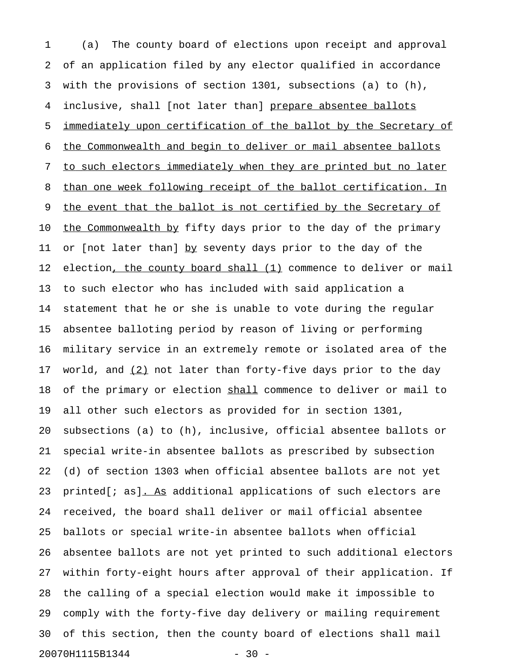1 (a) The county board of elections upon receipt and approval 2 of an application filed by any elector qualified in accordance 3 with the provisions of section 1301, subsections (a) to (h), 4 inclusive, shall [not later than] prepare absentee ballots 5 immediately upon certification of the ballot by the Secretary of 6 the Commonwealth and begin to deliver or mail absentee ballots 7 to such electors immediately when they are printed but no later 8 than one week following receipt of the ballot certification. In 9 the event that the ballot is not certified by the Secretary of 10 the Commonwealth by fifty days prior to the day of the primary 11 or [not later than] by seventy days prior to the day of the 12 election, the county board shall (1) commence to deliver or mail 13 to such elector who has included with said application a 14 statement that he or she is unable to vote during the regular 15 absentee balloting period by reason of living or performing 16 military service in an extremely remote or isolated area of the 17 world, and  $(2)$  not later than forty-five days prior to the day 18 of the primary or election shall commence to deliver or mail to 19 all other such electors as provided for in section 1301, 20 subsections (a) to (h), inclusive, official absentee ballots or 21 special write-in absentee ballots as prescribed by subsection 22 (d) of section 1303 when official absentee ballots are not yet 23 printed[ $i$  as]. As additional applications of such electors are 24 received, the board shall deliver or mail official absentee 25 ballots or special write-in absentee ballots when official 26 absentee ballots are not yet printed to such additional electors 27 within forty-eight hours after approval of their application. If 28 the calling of a special election would make it impossible to 29 comply with the forty-five day delivery or mailing requirement 30 of this section, then the county board of elections shall mail 20070H1115B1344 - 30 -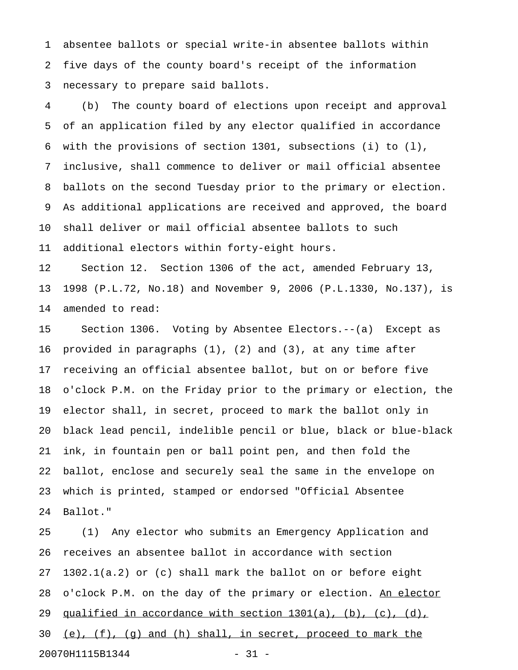1 absentee ballots or special write-in absentee ballots within 2 five days of the county board's receipt of the information 3 necessary to prepare said ballots.

4 (b) The county board of elections upon receipt and approval 5 of an application filed by any elector qualified in accordance 6 with the provisions of section 1301, subsections (i) to (l), 7 inclusive, shall commence to deliver or mail official absentee 8 ballots on the second Tuesday prior to the primary or election. 9 As additional applications are received and approved, the board 10 shall deliver or mail official absentee ballots to such 11 additional electors within forty-eight hours.

12 Section 12. Section 1306 of the act, amended February 13, 13 1998 (P.L.72, No.18) and November 9, 2006 (P.L.1330, No.137), is 14 amended to read:

15 Section 1306. Voting by Absentee Electors.--(a) Except as 16 provided in paragraphs (1), (2) and (3), at any time after 17 receiving an official absentee ballot, but on or before five 18 o'clock P.M. on the Friday prior to the primary or election, the 19 elector shall, in secret, proceed to mark the ballot only in 20 black lead pencil, indelible pencil or blue, black or blue-black 21 ink, in fountain pen or ball point pen, and then fold the 22 ballot, enclose and securely seal the same in the envelope on 23 which is printed, stamped or endorsed "Official Absentee 24 Ballot."

25 (1) Any elector who submits an Emergency Application and 26 receives an absentee ballot in accordance with section 27 1302.1(a.2) or (c) shall mark the ballot on or before eight 28 o'clock P.M. on the day of the primary or election. An elector 29 qualified in accordance with section  $1301(a)$ , (b), (c), (d), 30 (e), (f), (q) and (h) shall, in secret, proceed to mark the 20070H1115B1344 - 31 -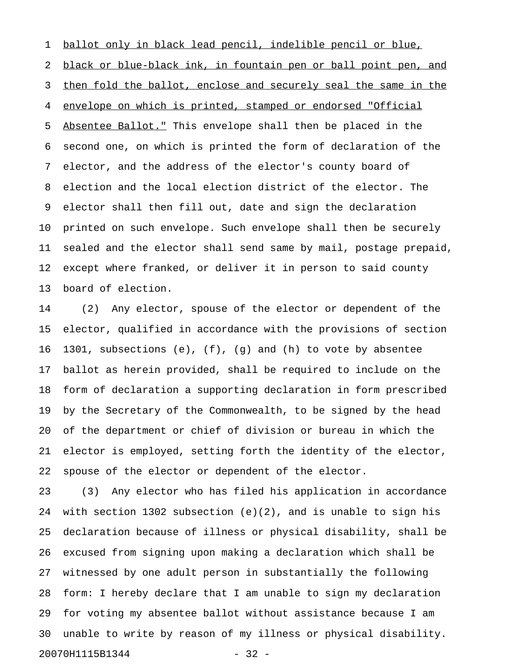1 ballot only in black lead pencil, indelible pencil or blue, 2 black or blue-black ink, in fountain pen or ball point pen, and 3 then fold the ballot, enclose and securely seal the same in the 4 envelope on which is printed, stamped or endorsed "Official 5 Absentee Ballot." This envelope shall then be placed in the 6 second one, on which is printed the form of declaration of the 7 elector, and the address of the elector's county board of 8 election and the local election district of the elector. The 9 elector shall then fill out, date and sign the declaration 10 printed on such envelope. Such envelope shall then be securely 11 sealed and the elector shall send same by mail, postage prepaid, 12 except where franked, or deliver it in person to said county 13 board of election.

14 (2) Any elector, spouse of the elector or dependent of the 15 elector, qualified in accordance with the provisions of section 16 1301, subsections (e), (f), (g) and (h) to vote by absentee 17 ballot as herein provided, shall be required to include on the 18 form of declaration a supporting declaration in form prescribed 19 by the Secretary of the Commonwealth, to be signed by the head 20 of the department or chief of division or bureau in which the 21 elector is employed, setting forth the identity of the elector, 22 spouse of the elector or dependent of the elector.

23 (3) Any elector who has filed his application in accordance 24 with section 1302 subsection (e)(2), and is unable to sign his 25 declaration because of illness or physical disability, shall be 26 excused from signing upon making a declaration which shall be 27 witnessed by one adult person in substantially the following 28 form: I hereby declare that I am unable to sign my declaration 29 for voting my absentee ballot without assistance because I am 30 unable to write by reason of my illness or physical disability. 20070H1115B1344 - 32 -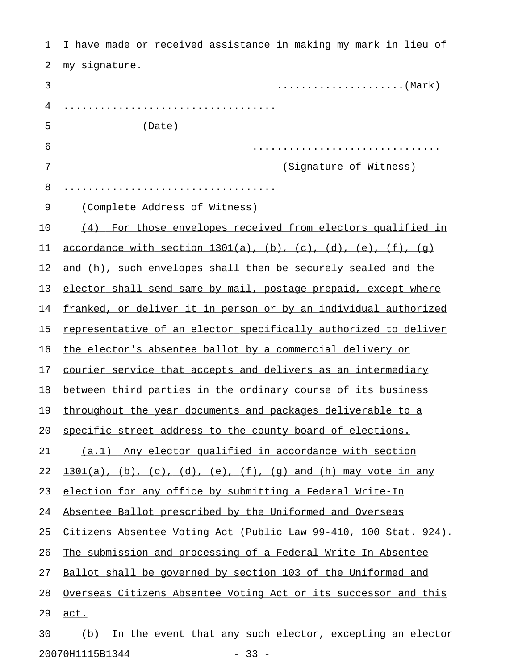| 1  | I have made or received assistance in making my mark in lieu of  |
|----|------------------------------------------------------------------|
| 2  | my signature.                                                    |
| 3  |                                                                  |
| 4  |                                                                  |
| 5  | (Date)                                                           |
| 6  |                                                                  |
| 7  | (Signature of Witness)                                           |
| 8  |                                                                  |
| 9  | (Complete Address of Witness)                                    |
| 10 | (4) For those envelopes received from electors qualified in      |
| 11 | accordance with section $1301(a)$ , (b), (c), (d), (e), (f), (q) |
| 12 | and (h), such envelopes shall then be securely sealed and the    |
| 13 | elector shall send same by mail, postage prepaid, except where   |
| 14 | franked, or deliver it in person or by an individual authorized  |
| 15 | representative of an elector specifically authorized to deliver  |
| 16 | the elector's absentee ballot by a commercial delivery or        |
| 17 | courier service that accepts and delivers as an intermediary     |
| 18 | between third parties in the ordinary course of its business     |
| 19 | throughout the year documents and packages deliverable to a      |
| 20 | specific street address to the county board of elections.        |
| 21 | (a.1) Any elector qualified in accordance with section           |
| 22 | $1301(a)$ , (b), (c), (d), (e), (f), (q) and (h) may vote in any |
| 23 | election for any office by submitting a Federal Write-In         |
| 24 | Absentee Ballot prescribed by the Uniformed and Overseas         |
| 25 | Citizens Absentee Voting Act (Public Law 99-410, 100 Stat. 924). |
| 26 | The submission and processing of a Federal Write-In Absentee     |
| 27 | Ballot shall be governed by section 103 of the Uniformed and     |
| 28 | Overseas Citizens Absentee Voting Act or its successor and this  |
| 29 | act.                                                             |
| 30 | In the event that any such elector, excepting an elector<br>(b)  |

20070H1115B1344 - 33 -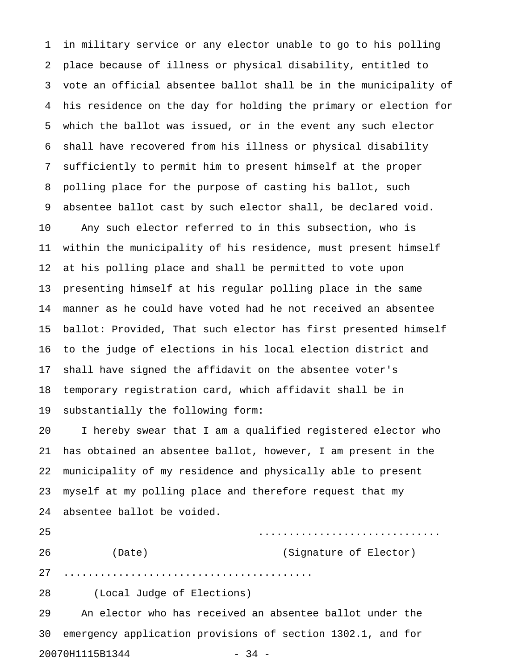1 in military service or any elector unable to go to his polling 2 place because of illness or physical disability, entitled to 3 vote an official absentee ballot shall be in the municipality of 4 his residence on the day for holding the primary or election for 5 which the ballot was issued, or in the event any such elector 6 shall have recovered from his illness or physical disability 7 sufficiently to permit him to present himself at the proper 8 polling place for the purpose of casting his ballot, such 9 absentee ballot cast by such elector shall, be declared void. 10 Any such elector referred to in this subsection, who is 11 within the municipality of his residence, must present himself 12 at his polling place and shall be permitted to vote upon 13 presenting himself at his regular polling place in the same 14 manner as he could have voted had he not received an absentee 15 ballot: Provided, That such elector has first presented himself 16 to the judge of elections in his local election district and 17 shall have signed the affidavit on the absentee voter's 18 temporary registration card, which affidavit shall be in 19 substantially the following form: 20 I hereby swear that I am a qualified registered elector who 21 has obtained an absentee ballot, however, I am present in the 22 municipality of my residence and physically able to present 23 myself at my polling place and therefore request that my 24 absentee ballot be voided. 25 .............................. 26 (Date) (Signature of Elector) 27 ......................................... 28 (Local Judge of Elections) 29 An elector who has received an absentee ballot under the 30 emergency application provisions of section 1302.1, and for

20070H1115B1344 - 34 -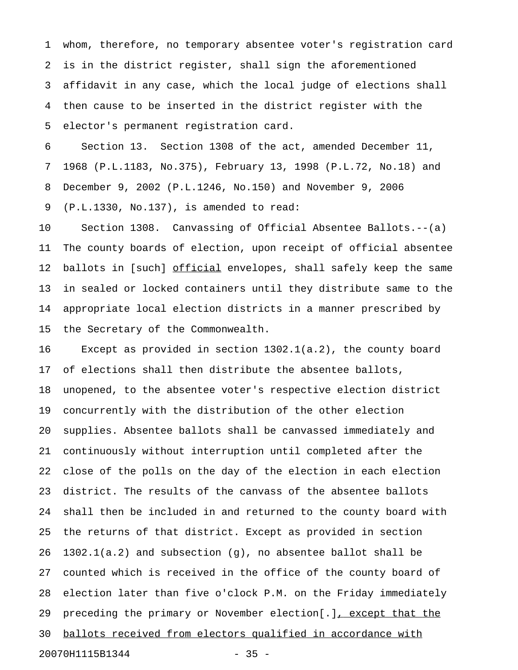1 whom, therefore, no temporary absentee voter's registration card 2 is in the district register, shall sign the aforementioned 3 affidavit in any case, which the local judge of elections shall 4 then cause to be inserted in the district register with the 5 elector's permanent registration card.

6 Section 13. Section 1308 of the act, amended December 11, 7 1968 (P.L.1183, No.375), February 13, 1998 (P.L.72, No.18) and 8 December 9, 2002 (P.L.1246, No.150) and November 9, 2006 9 (P.L.1330, No.137), is amended to read:

10 Section 1308. Canvassing of Official Absentee Ballots.--(a) 11 The county boards of election, upon receipt of official absentee 12 ballots in [such] official envelopes, shall safely keep the same 13 in sealed or locked containers until they distribute same to the 14 appropriate local election districts in a manner prescribed by 15 the Secretary of the Commonwealth.

16 Except as provided in section 1302.1(a.2), the county board 17 of elections shall then distribute the absentee ballots, 18 unopened, to the absentee voter's respective election district 19 concurrently with the distribution of the other election 20 supplies. Absentee ballots shall be canvassed immediately and 21 continuously without interruption until completed after the 22 close of the polls on the day of the election in each election 23 district. The results of the canvass of the absentee ballots 24 shall then be included in and returned to the county board with 25 the returns of that district. Except as provided in section 26 1302.1(a.2) and subsection (g), no absentee ballot shall be 27 counted which is received in the office of the county board of 28 election later than five o'clock P.M. on the Friday immediately 29 preceding the primary or November election[.], except that the 30 ballots received from electors qualified in accordance with 20070H1115B1344 - 35 -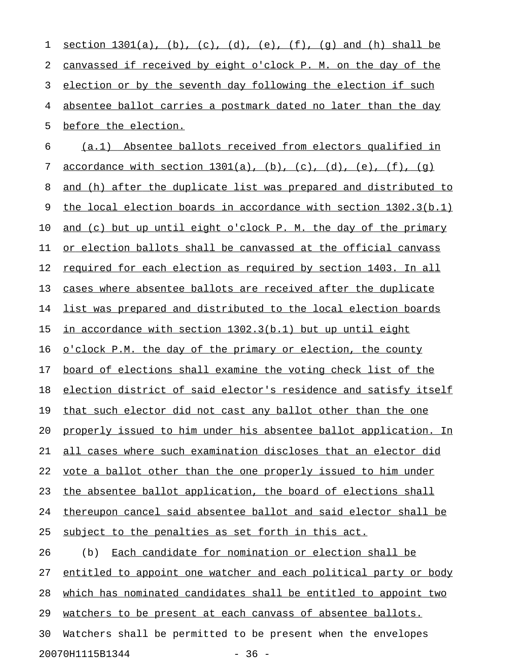1 section  $1301(a)$ , (b), (c), (d), (e), (f), (q) and (h) shall be 2 canvassed if received by eight o'clock P. M. on the day of the 3 election or by the seventh day following the election if such 4 absentee ballot carries a postmark dated no later than the day 5 before the election. 6 (a.1) Absentee ballots received from electors qualified in 7 accordance with section  $1301(a)$ , (b), (c), (d), (e), (f), (q) 8 and (h) after the duplicate list was prepared and distributed to 9 the local election boards in accordance with section 1302.3(b.1) 10 and (c) but up until eight o'clock P. M. the day of the primary 11 or election ballots shall be canvassed at the official canvass 12 required for each election as required by section 1403. In all 13 cases where absentee ballots are received after the duplicate 14 list was prepared and distributed to the local election boards 15 in accordance with section  $1302.3(b.1)$  but up until eight 16 o'clock P.M. the day of the primary or election, the county 17 board of elections shall examine the voting check list of the 18 election district of said elector's residence and satisfy itself 19 that such elector did not cast any ballot other than the one 20 properly issued to him under his absentee ballot application. In 21 all cases where such examination discloses that an elector did 22 vote a ballot other than the one properly issued to him under 23 the absentee ballot application, the board of elections shall 24 thereupon cancel said absentee ballot and said elector shall be 25 subject to the penalties as set forth in this act. 26 (b) Each candidate for nomination or election shall be 27 entitled to appoint one watcher and each political party or body 28 which has nominated candidates shall be entitled to appoint two 29 watchers to be present at each canvass of absentee ballots. 30 Watchers shall be permitted to be present when the envelopes 20070H1115B1344 - 36 -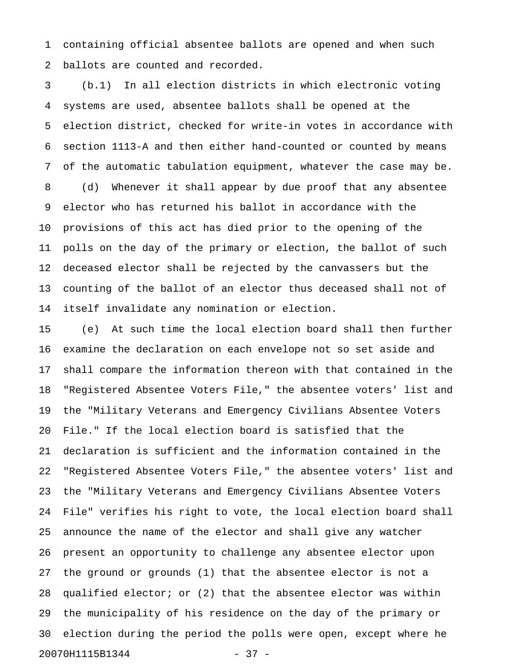1 containing official absentee ballots are opened and when such 2 ballots are counted and recorded.

3 (b.1) In all election districts in which electronic voting 4 systems are used, absentee ballots shall be opened at the 5 election district, checked for write-in votes in accordance with 6 section 1113-A and then either hand-counted or counted by means 7 of the automatic tabulation equipment, whatever the case may be. 8 (d) Whenever it shall appear by due proof that any absentee 9 elector who has returned his ballot in accordance with the 10 provisions of this act has died prior to the opening of the 11 polls on the day of the primary or election, the ballot of such 12 deceased elector shall be rejected by the canvassers but the 13 counting of the ballot of an elector thus deceased shall not of 14 itself invalidate any nomination or election.

15 (e) At such time the local election board shall then further 16 examine the declaration on each envelope not so set aside and 17 shall compare the information thereon with that contained in the 18 "Registered Absentee Voters File," the absentee voters' list and 19 the "Military Veterans and Emergency Civilians Absentee Voters 20 File." If the local election board is satisfied that the 21 declaration is sufficient and the information contained in the 22 "Registered Absentee Voters File," the absentee voters' list and 23 the "Military Veterans and Emergency Civilians Absentee Voters 24 File" verifies his right to vote, the local election board shall 25 announce the name of the elector and shall give any watcher 26 present an opportunity to challenge any absentee elector upon 27 the ground or grounds (1) that the absentee elector is not a 28 qualified elector; or (2) that the absentee elector was within 29 the municipality of his residence on the day of the primary or 30 election during the period the polls were open, except where he 20070H1115B1344 - 37 -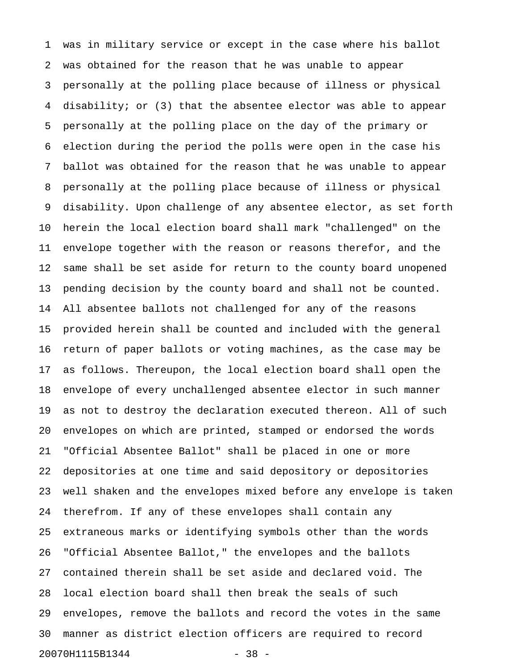1 was in military service or except in the case where his ballot 2 was obtained for the reason that he was unable to appear 3 personally at the polling place because of illness or physical 4 disability; or (3) that the absentee elector was able to appear 5 personally at the polling place on the day of the primary or 6 election during the period the polls were open in the case his 7 ballot was obtained for the reason that he was unable to appear 8 personally at the polling place because of illness or physical 9 disability. Upon challenge of any absentee elector, as set forth 10 herein the local election board shall mark "challenged" on the 11 envelope together with the reason or reasons therefor, and the 12 same shall be set aside for return to the county board unopened 13 pending decision by the county board and shall not be counted. 14 All absentee ballots not challenged for any of the reasons 15 provided herein shall be counted and included with the general 16 return of paper ballots or voting machines, as the case may be 17 as follows. Thereupon, the local election board shall open the 18 envelope of every unchallenged absentee elector in such manner 19 as not to destroy the declaration executed thereon. All of such 20 envelopes on which are printed, stamped or endorsed the words 21 "Official Absentee Ballot" shall be placed in one or more 22 depositories at one time and said depository or depositories 23 well shaken and the envelopes mixed before any envelope is taken 24 therefrom. If any of these envelopes shall contain any 25 extraneous marks or identifying symbols other than the words 26 "Official Absentee Ballot," the envelopes and the ballots 27 contained therein shall be set aside and declared void. The 28 local election board shall then break the seals of such 29 envelopes, remove the ballots and record the votes in the same 30 manner as district election officers are required to record 20070H1115B1344 - 38 -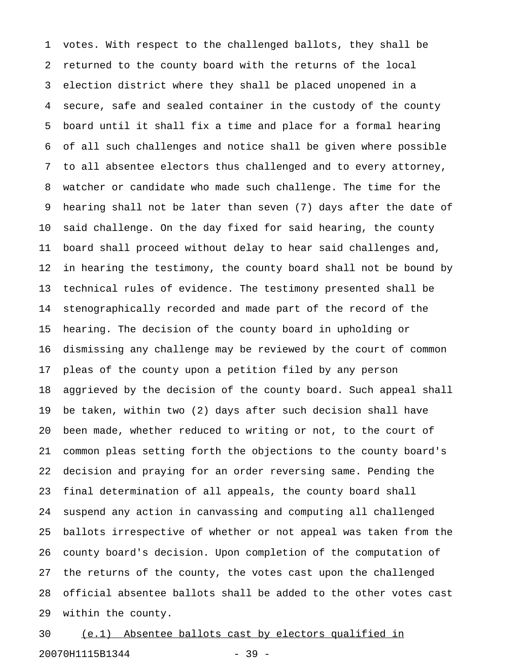1 votes. With respect to the challenged ballots, they shall be 2 returned to the county board with the returns of the local 3 election district where they shall be placed unopened in a 4 secure, safe and sealed container in the custody of the county 5 board until it shall fix a time and place for a formal hearing 6 of all such challenges and notice shall be given where possible 7 to all absentee electors thus challenged and to every attorney, 8 watcher or candidate who made such challenge. The time for the 9 hearing shall not be later than seven (7) days after the date of 10 said challenge. On the day fixed for said hearing, the county 11 board shall proceed without delay to hear said challenges and, 12 in hearing the testimony, the county board shall not be bound by 13 technical rules of evidence. The testimony presented shall be 14 stenographically recorded and made part of the record of the 15 hearing. The decision of the county board in upholding or 16 dismissing any challenge may be reviewed by the court of common 17 pleas of the county upon a petition filed by any person 18 aggrieved by the decision of the county board. Such appeal shall 19 be taken, within two (2) days after such decision shall have 20 been made, whether reduced to writing or not, to the court of 21 common pleas setting forth the objections to the county board's 22 decision and praying for an order reversing same. Pending the 23 final determination of all appeals, the county board shall 24 suspend any action in canvassing and computing all challenged 25 ballots irrespective of whether or not appeal was taken from the 26 county board's decision. Upon completion of the computation of 27 the returns of the county, the votes cast upon the challenged 28 official absentee ballots shall be added to the other votes cast 29 within the county.

30 (e.1) Absentee ballots cast by electors qualified in 20070H1115B1344 - 39 -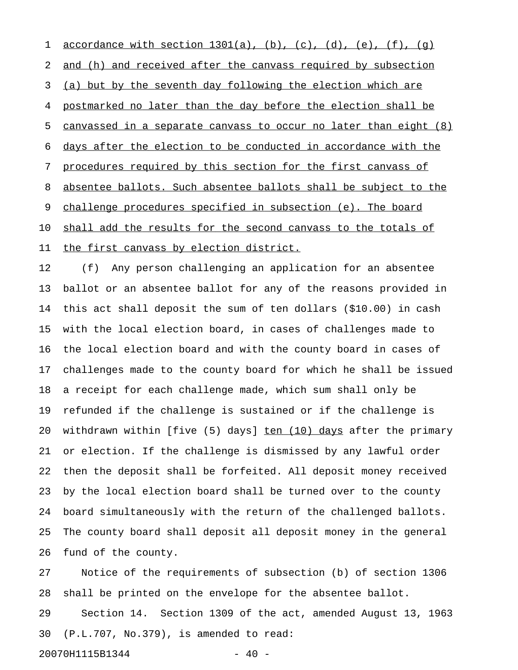1 <u>accordance with section 1301(a)</u>, (b), (c), (d), (e), (f), (q) 2 and (h) and received after the canvass required by subsection 3 (a) but by the seventh day following the election which are 4 postmarked no later than the day before the election shall be 5 canvassed in a separate canvass to occur no later than eight  $(8)$ 6 days after the election to be conducted in accordance with the 7 procedures required by this section for the first canvass of 8 absentee ballots. Such absentee ballots shall be subject to the 9 challenge procedures specified in subsection (e). The board 10 shall add the results for the second canvass to the totals of 11 the first canvass by election district.

12 (f) Any person challenging an application for an absentee 13 ballot or an absentee ballot for any of the reasons provided in 14 this act shall deposit the sum of ten dollars (\$10.00) in cash 15 with the local election board, in cases of challenges made to 16 the local election board and with the county board in cases of 17 challenges made to the county board for which he shall be issued 18 a receipt for each challenge made, which sum shall only be 19 refunded if the challenge is sustained or if the challenge is 20 withdrawn within [five (5) days] ten (10) days after the primary 21 or election. If the challenge is dismissed by any lawful order 22 then the deposit shall be forfeited. All deposit money received 23 by the local election board shall be turned over to the county 24 board simultaneously with the return of the challenged ballots. 25 The county board shall deposit all deposit money in the general 26 fund of the county.

27 Notice of the requirements of subsection (b) of section 1306 28 shall be printed on the envelope for the absentee ballot.

29 Section 14. Section 1309 of the act, amended August 13, 1963 30 (P.L.707, No.379), is amended to read:

20070H1115B1344 - 40

$$
-40
$$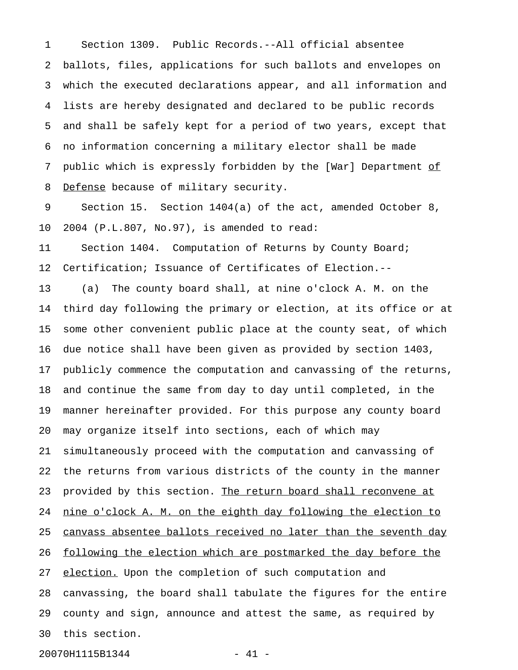1 Section 1309. Public Records.--All official absentee 2 ballots, files, applications for such ballots and envelopes on 3 which the executed declarations appear, and all information and 4 lists are hereby designated and declared to be public records 5 and shall be safely kept for a period of two years, except that 6 no information concerning a military elector shall be made 7 public which is expressly forbidden by the [War] Department of 8 Defense because of military security.

9 Section 15. Section 1404(a) of the act, amended October 8, 10 2004 (P.L.807, No.97), is amended to read:

11 Section 1404. Computation of Returns by County Board; 12 Certification; Issuance of Certificates of Election.--

13 (a) The county board shall, at nine o'clock A. M. on the 14 third day following the primary or election, at its office or at 15 some other convenient public place at the county seat, of which 16 due notice shall have been given as provided by section 1403, 17 publicly commence the computation and canvassing of the returns, 18 and continue the same from day to day until completed, in the 19 manner hereinafter provided. For this purpose any county board 20 may organize itself into sections, each of which may 21 simultaneously proceed with the computation and canvassing of 22 the returns from various districts of the county in the manner 23 provided by this section. The return board shall reconvene at 24 nine o'clock A. M. on the eighth day following the election to 25 canvass absentee ballots received no later than the seventh day 26 following the election which are postmarked the day before the 27 election. Upon the completion of such computation and 28 canvassing, the board shall tabulate the figures for the entire 29 county and sign, announce and attest the same, as required by 30 this section.

20070H1115B1344 - 41 -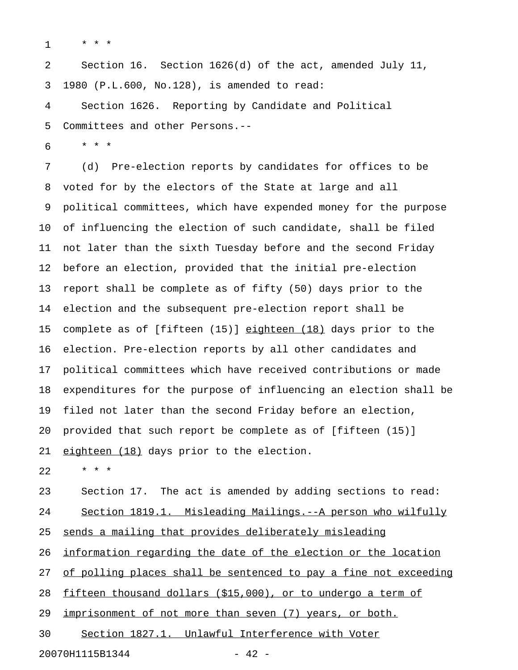1 \* \* \*

2 Section 16. Section 1626(d) of the act, amended July 11, 3 1980 (P.L.600, No.128), is amended to read:

4 Section 1626. Reporting by Candidate and Political 5 Committees and other Persons.--

6 \* \* \*

7 (d) Pre-election reports by candidates for offices to be 8 voted for by the electors of the State at large and all 9 political committees, which have expended money for the purpose 10 of influencing the election of such candidate, shall be filed 11 not later than the sixth Tuesday before and the second Friday 12 before an election, provided that the initial pre-election 13 report shall be complete as of fifty (50) days prior to the 14 election and the subsequent pre-election report shall be 15 complete as of [fifteen  $(15)$ ] eighteen  $(18)$  days prior to the 16 election. Pre-election reports by all other candidates and 17 political committees which have received contributions or made 18 expenditures for the purpose of influencing an election shall be 19 filed not later than the second Friday before an election, 20 provided that such report be complete as of [fifteen (15)] 21 eighteen (18) days prior to the election.

22 \* \* \*

23 Section 17. The act is amended by adding sections to read: 24 Section 1819.1. Misleading Mailings.--A person who wilfully 25 sends a mailing that provides deliberately misleading 26 information regarding the date of the election or the location 27 of polling places shall be sentenced to pay a fine not exceeding

28 fifteen thousand dollars  $($15,000)$ , or to undergo a term of

29 imprisonment of not more than seven (7) years, or both.

30 Section 1827.1. Unlawful Interference with Voter

20070H1115B1344 - 42 -